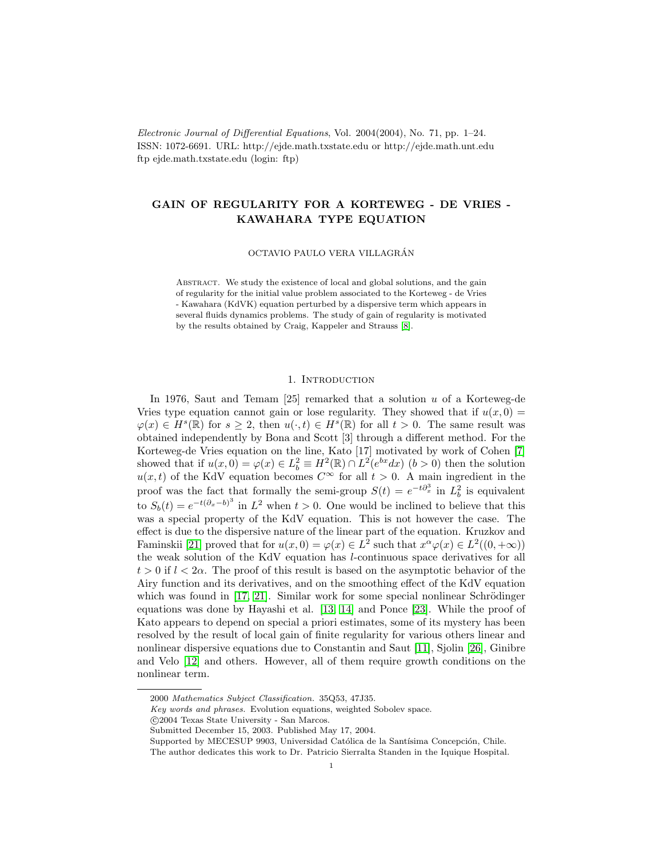Electronic Journal of Differential Equations, Vol. 2004(2004), No. 71, pp. 1–24. ISSN: 1072-6691. URL: http://ejde.math.txstate.edu or http://ejde.math.unt.edu ftp ejde.math.txstate.edu (login: ftp)

# GAIN OF REGULARITY FOR A KORTEWEG - DE VRIES - KAWAHARA TYPE EQUATION

OCTAVIO PAULO VERA VILLAGRAN´

ABSTRACT. We study the existence of local and global solutions, and the gain of regularity for the initial value problem associated to the Korteweg - de Vries - Kawahara (KdVK) equation perturbed by a dispersive term which appears in several fluids dynamics problems. The study of gain of regularity is motivated by the results obtained by Craig, Kappeler and Strauss [\[8\]](#page-22-0).

# 1. INTRODUCTION

In 1976, Saut and Temam  $[25]$  remarked that a solution u of a Korteweg-de Vries type equation cannot gain or lose regularity. They showed that if  $u(x, 0) =$  $\varphi(x) \in H^s(\mathbb{R})$  for  $s \geq 2$ , then  $u(\cdot, t) \in H^s(\mathbb{R})$  for all  $t > 0$ . The same result was obtained independently by Bona and Scott [3] through a different method. For the Korteweg-de Vries equation on the line, Kato [17] motivated by work of Cohen [\[7\]](#page-22-1) showed that if  $u(x,0) = \varphi(x) \in L_b^2 \equiv H^2(\mathbb{R}) \cap L^2(e^{bx}dx)$   $(b > 0)$  then the solution  $u(x, t)$  of the KdV equation becomes  $C^{\infty}$  for all  $t > 0$ . A main ingredient in the proof was the fact that formally the semi-group  $S(t) = e^{-t\partial_x^3}$  in  $L_b^2$  is equivalent to  $S_b(t) = e^{-t(\partial_x - b)^3}$  in  $L^2$  when  $t > 0$ . One would be inclined to believe that this was a special property of the KdV equation. This is not however the case. The effect is due to the dispersive nature of the linear part of the equation. Kruzkov and Faminskii [\[21\]](#page-23-0) proved that for  $u(x, 0) = \varphi(x) \in L^2$  such that  $x^{\alpha} \varphi(x) \in L^2((0, +\infty))$ the weak solution of the KdV equation has l-continuous space derivatives for all  $t > 0$  if  $l < 2\alpha$ . The proof of this result is based on the asymptotic behavior of the Airy function and its derivatives, and on the smoothing effect of the KdV equation which was found in  $[17, 21]$  $[17, 21]$ . Similar work for some special nonlinear Schrödinger equations was done by Hayashi et al. [\[13,](#page-23-2) [14\]](#page-23-3) and Ponce [\[23\]](#page-23-4). While the proof of Kato appears to depend on special a priori estimates, some of its mystery has been resolved by the result of local gain of finite regularity for various others linear and nonlinear dispersive equations due to Constantin and Saut [\[11\]](#page-23-5), Sjolin [\[26\]](#page-23-6), Ginibre and Velo [\[12\]](#page-23-7) and others. However, all of them require growth conditions on the nonlinear term.

<sup>2000</sup> Mathematics Subject Classification. 35Q53, 47J35.

Key words and phrases. Evolution equations, weighted Sobolev space.

c 2004 Texas State University - San Marcos.

Submitted December 15, 2003. Published May 17, 2004.

Supported by MECESUP 9903, Universidad Católica de la Santísima Concepción, Chile.

The author dedicates this work to Dr. Patricio Sierralta Standen in the Iquique Hospital.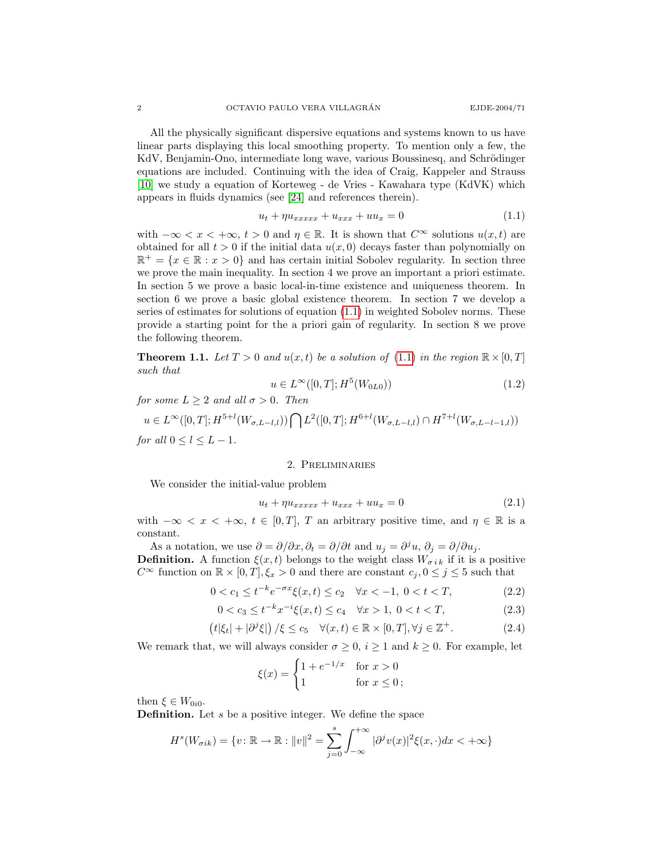All the physically significant dispersive equations and systems known to us have linear parts displaying this local smoothing property. To mention only a few, the KdV, Benjamin-Ono, intermediate long wave, various Boussinesq, and Schrödinger equations are included. Continuing with the idea of Craig, Kappeler and Strauss [\[10\]](#page-22-2) we study a equation of Korteweg - de Vries - Kawahara type (KdVK) which appears in fluids dynamics (see [\[24\]](#page-23-8) and references therein).

<span id="page-1-0"></span>
$$
u_t + \eta u_{xxxx} + u_{xxx} + uu_x = 0 \tag{1.1}
$$

with  $-\infty < x < +\infty$ ,  $t > 0$  and  $\eta \in \mathbb{R}$ . It is shown that  $C^{\infty}$  solutions  $u(x, t)$  are obtained for all  $t > 0$  if the initial data  $u(x, 0)$  decays faster than polynomially on  $\mathbb{R}^+ = \{x \in \mathbb{R} : x > 0\}$  and has certain initial Sobolev regularity. In section three we prove the main inequality. In section 4 we prove an important a priori estimate. In section 5 we prove a basic local-in-time existence and uniqueness theorem. In section 6 we prove a basic global existence theorem. In section 7 we develop a series of estimates for solutions of equation [\(1.1\)](#page-1-0) in weighted Sobolev norms. These provide a starting point for the a priori gain of regularity. In section 8 we prove the following theorem.

**Theorem 1.1.** Let  $T > 0$  and  $u(x, t)$  be a solution of [\(1.1\)](#page-1-0) in the region  $\mathbb{R} \times [0, T]$ such that

$$
u \in L^{\infty}([0, T]; H^5(W_{0L0}))
$$
\n(1.2)

for some  $L \geq 2$  and all  $\sigma > 0$ . Then

 $u \in L^{\infty}([0,T]; H^{5+l}(W_{\sigma,L-l,l}))\bigcap L^{2}([0,T]; H^{6+l}(W_{\sigma,L-l,l})\cap H^{7+l}(W_{\sigma,L-l-1,l}))$ for all  $0 \leq l \leq L-1$ .

### 2. Preliminaries

We consider the initial-value problem

$$
u_t + \eta u_{xxxx} + u_{xxx} + uu_x = 0 \tag{2.1}
$$

with  $-\infty < x < +\infty$ ,  $t \in [0,T]$ , T an arbitrary positive time, and  $\eta \in \mathbb{R}$  is a constant.

As a notation, we use  $\partial = \partial/\partial x$ ,  $\partial_t = \partial/\partial t$  and  $u_j = \partial^j u$ ,  $\partial_j = \partial/\partial u_j$ . **Definition.** A function  $\xi(x, t)$  belongs to the weight class  $W_{\sigma i k}$  if it is a positive

 $C^{\infty}$  function on  $\mathbb{R} \times [0, T], \xi_x > 0$  and there are constant  $c_j, 0 \le j \le 5$  such that

$$
0 < c_1 \le t^{-k} e^{-\sigma x} \xi(x, t) \le c_2 \quad \forall x < -1, \ 0 < t < T,\tag{2.2}
$$

$$
0 < c_3 \le t^{-k} x^{-i} \xi(x, t) \le c_4 \quad \forall x > 1, \ 0 < t < T,\tag{2.3}
$$

$$
(t|\xi_t| + |\partial^j \xi|) / \xi \le c_5 \quad \forall (x, t) \in \mathbb{R} \times [0, T], \forall j \in \mathbb{Z}^+.
$$
 (2.4)

We remark that, we will always consider  $\sigma \geq 0$ ,  $i \geq 1$  and  $k \geq 0$ . For example, let

<span id="page-1-2"></span><span id="page-1-1"></span>
$$
\xi(x) = \begin{cases} 1 + e^{-1/x} & \text{for } x > 0 \\ 1 & \text{for } x \le 0 \end{cases}
$$

then  $\xi \in W_{0i0}$ .

**Definition.** Let s be a positive integer. We define the space

$$
Hs(W\sigma ik) = \{v : \mathbb{R} \to \mathbb{R} : ||v||^2 = \sum_{j=0}^{s} \int_{-\infty}^{+\infty} |\partial^j v(x)|^2 \xi(x, \cdot) dx < +\infty\}
$$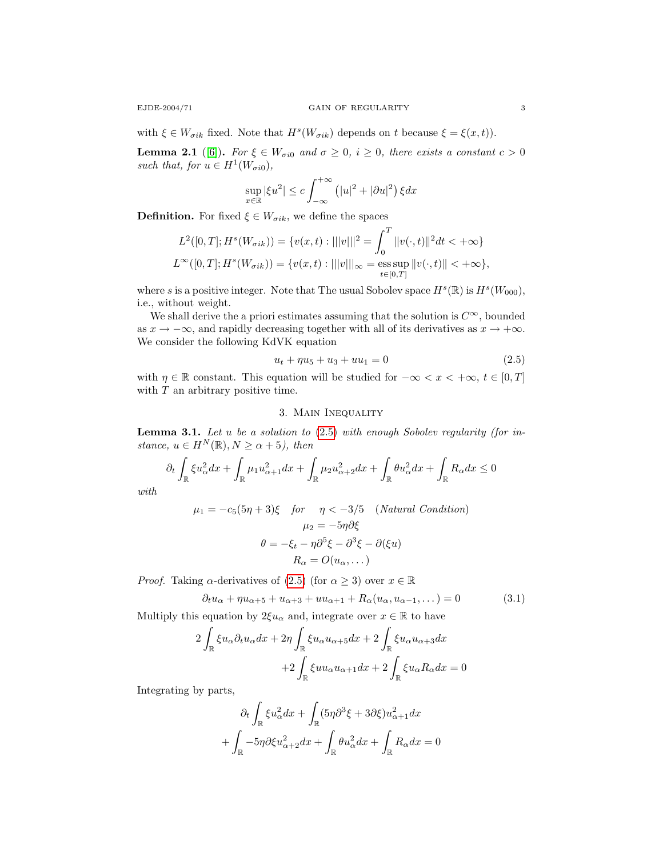with  $\xi \in W_{\sigma ik}$  fixed. Note that  $H^s(W_{\sigma ik})$  depends on t because  $\xi = \xi(x, t)$ .

<span id="page-2-2"></span>**Lemma 2.1** ([\[6\]](#page-22-3)). For  $\xi \in W_{\sigma i0}$  and  $\sigma \geq 0$ ,  $i \geq 0$ , there exists a constant  $c > 0$ such that, for  $u \in H^1(W_{\sigma i0}),$ 

$$
\sup_{x \in \mathbb{R}} |\xi u^2| \le c \int_{-\infty}^{+\infty} (|u|^2 + |\partial u|^2) \xi dx
$$

**Definition.** For fixed  $\xi \in W_{\sigma ik}$ , we define the spaces

$$
L^{2}([0, T]; H^{s}(W_{\sigma ik})) = \{v(x, t) : |||v|||^{2} = \int_{0}^{T} ||v(\cdot, t)||^{2} dt < +\infty\}
$$
  

$$
L^{\infty}([0, T]; H^{s}(W_{\sigma ik})) = \{v(x, t) : |||v|||_{\infty} = \operatorname*{ess\,sup}_{t \in [0, T]} ||v(\cdot, t)|| < +\infty\},
$$

where s is a positive integer. Note that The usual Sobolev space  $H^s(\mathbb{R})$  is  $H^s(W_{000})$ , i.e., without weight.

We shall derive the a priori estimates assuming that the solution is  $C^{\infty}$ , bounded as  $x \to -\infty$ , and rapidly decreasing together with all of its derivatives as  $x \to +\infty$ . We consider the following KdVK equation

<span id="page-2-0"></span>
$$
u_t + \eta u_5 + u_3 + u u_1 = 0 \tag{2.5}
$$

with  $\eta \in \mathbb{R}$  constant. This equation will be studied for  $-\infty < x < +\infty$ ,  $t \in [0,T]$ with  $T$  an arbitrary positive time.

# 3. Main Inequality

<span id="page-2-1"></span>**Lemma 3.1.** Let  $u$  be a solution to  $(2.5)$  with enough Sobolev regularity (for instance,  $u \in H^N(\mathbb{R}), N \ge \alpha + 5$ , then

$$
\partial_t \int_{\mathbb{R}} \xi u_\alpha^2 dx + \int_{\mathbb{R}} \mu_1 u_{\alpha+1}^2 dx + \int_{\mathbb{R}} \mu_2 u_{\alpha+2}^2 dx + \int_{\mathbb{R}} \theta u_\alpha^2 dx + \int_{\mathbb{R}} R_\alpha dx \le 0
$$

with

$$
\mu_1 = -c_5(5\eta + 3)\xi \quad \text{for} \quad \eta < -3/5 \quad (\text{Natural Condition})
$$
\n
$$
\mu_2 = -5\eta \partial \xi
$$
\n
$$
\theta = -\xi_t - \eta \partial^5 \xi - \partial^3 \xi - \partial(\xi u)
$$
\n
$$
R_\alpha = O(u_\alpha, \dots)
$$

*Proof.* Taking  $\alpha$ -derivatives of [\(2.5\)](#page-2-0) (for  $\alpha \geq 3$ ) over  $x \in \mathbb{R}$ 

$$
\partial_t u_\alpha + \eta u_{\alpha+5} + u_{\alpha+3} + uu_{\alpha+1} + R_\alpha(u_\alpha, u_{\alpha-1}, \dots) = 0 \tag{3.1}
$$

Multiply this equation by  $2\xi u_\alpha$  and, integrate over  $x \in \mathbb{R}$  to have

$$
2\int_{\mathbb{R}} \xi u_{\alpha} \partial_t u_{\alpha} dx + 2\eta \int_{\mathbb{R}} \xi u_{\alpha} u_{\alpha+5} dx + 2 \int_{\mathbb{R}} \xi u_{\alpha} u_{\alpha+3} dx
$$

$$
+ 2 \int_{\mathbb{R}} \xi u u_{\alpha} u_{\alpha+1} dx + 2 \int_{\mathbb{R}} \xi u_{\alpha} R_{\alpha} dx = 0
$$

Integrating by parts,

$$
\partial_t \int_{\mathbb{R}} \xi u_\alpha^2 dx + \int_{\mathbb{R}} (5\eta \partial^3 \xi + 3\partial \xi) u_{\alpha+1}^2 dx
$$

$$
+ \int_{\mathbb{R}} -5\eta \partial \xi u_{\alpha+2}^2 dx + \int_{\mathbb{R}} \theta u_\alpha^2 dx + \int_{\mathbb{R}} R_\alpha dx = 0
$$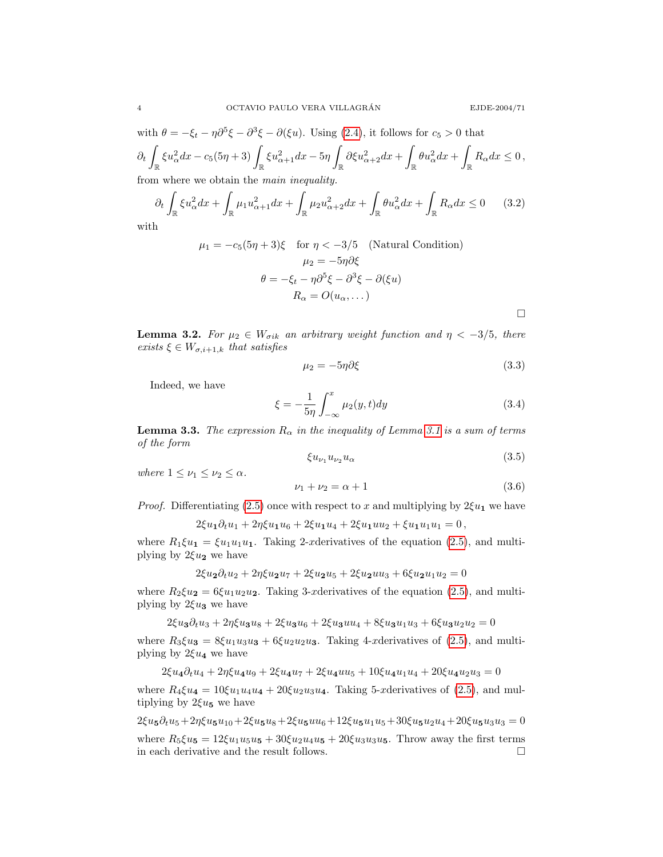$\Box$ 

with  $\theta = -\xi_t - \eta \partial^5 \xi - \partial^3 \xi - \partial (\xi u)$ . Using [\(2.4\)](#page-1-1), it follows for  $c_5 > 0$  that  $\partial_t$  $\int_{\mathbb{R}} \xi u_\alpha^2 dx - c_5(5\eta+3) \int_{\mathbb{R}} \xi u_{\alpha+1}^2 dx - 5\eta \int_{\mathbb{R}}$  $\int_{\mathbb{R}} \partial \xi u_{\alpha+2}^2 dx + \int$  $\int_{\mathbb{R}} \theta u_{\alpha}^2 dx + \int$  $R_{\alpha}dx \leq 0$ , from where we obtain the main inequality.

$$
\partial_t \int_{\mathbb{R}} \xi u_\alpha^2 dx + \int_{\mathbb{R}} \mu_1 u_{\alpha+1}^2 dx + \int_{\mathbb{R}} \mu_2 u_{\alpha+2}^2 dx + \int_{\mathbb{R}} \theta u_\alpha^2 dx + \int_{\mathbb{R}} R_\alpha dx \le 0 \qquad (3.2)
$$

with

<span id="page-3-0"></span>
$$
\mu_1 = -c_5(5\eta + 3)\xi \quad \text{for } \eta < -3/5 \quad \text{(Natural Condition)}
$$
\n
$$
\mu_2 = -5\eta \partial \xi
$$
\n
$$
\theta = -\xi_t - \eta \partial^5 \xi - \partial^3 \xi - \partial(\xi u)
$$
\n
$$
R_\alpha = O(u_\alpha, \dots)
$$

**Lemma 3.2.** For  $\mu_2 \in W_{\sigma ik}$  an arbitrary weight function and  $\eta < -3/5$ , there exists  $\xi \in W_{\sigma,i+1,k}$  that satisfies

<span id="page-3-3"></span>
$$
\mu_2 = -5\eta \partial \xi \tag{3.3}
$$

Indeed, we have

<span id="page-3-4"></span>
$$
\xi = -\frac{1}{5\eta} \int_{-\infty}^{x} \mu_2(y, t) dy \tag{3.4}
$$

<span id="page-3-1"></span>**Lemma 3.3.** The expression  $R_{\alpha}$  in the inequality of Lemma [3.1](#page-2-1) is a sum of terms of the form

$$
\xi u_{\nu_1} u_{\nu_2} u_{\alpha} \tag{3.5}
$$

where  $1 \leq \nu_1 \leq \nu_2 \leq \alpha$ .

<span id="page-3-2"></span>
$$
\nu_1 + \nu_2 = \alpha + 1 \tag{3.6}
$$

*Proof.* Differentiating [\(2.5\)](#page-2-0) once with respect to x and multiplying by  $2\xi u_1$  we have

$$
2\xi u_1 \partial_t u_1 + 2\eta \xi u_1 u_6 + 2\xi u_1 u_4 + 2\xi u_1 u u_2 + \xi u_1 u_1 u_1 = 0,
$$

where  $R_1 \xi u_1 = \xi u_1 u_1 u_1$ . Taking 2-xderivatives of the equation [\(2.5\)](#page-2-0), and multiplying by  $2\xi u_2$  we have

$$
2\xi u_2 \partial_t u_2 + 2\eta \xi u_2 u_7 + 2\xi u_2 u_5 + 2\xi u_2 u u_3 + 6\xi u_2 u_1 u_2 = 0
$$

where  $R_2 \xi u_2 = 6\xi u_1 u_2 u_2$ . Taking 3-xderivatives of the equation [\(2.5\)](#page-2-0), and multiplying by  $2\xi u_3$  we have

 $2\xi u_3\partial_t u_3 + 2\eta \xi u_3u_8 + 2\xi u_3u_6 + 2\xi u_3uu_4 + 8\xi u_3u_1u_3 + 6\xi u_3u_2u_2 = 0$ 

where  $R_3\xi u_3 = 8\xi u_1u_3u_3 + 6\xi u_2u_2u_3$ . Taking 4-xderivatives of [\(2.5\)](#page-2-0), and multiplying by  $2\xi u_4$  we have

$$
2\xi u_4 \partial_t u_4 + 2\eta \xi u_4 u_9 + 2\xi u_4 u_7 + 2\xi u_4 u u_5 + 10\xi u_4 u_1 u_4 + 20\xi u_4 u_2 u_3 = 0
$$

where  $R_4 \xi u_4 = 10 \xi u_1 u_4 u_4 + 20 \xi u_2 u_3 u_4$ . Taking 5-xderivatives of [\(2.5\)](#page-2-0), and multiplying by  $2\xi u_5$  we have

 $2\xi u_5\partial_t u_5 + 2\eta \xi u_5u_{10} + 2\xi u_5u_8 + 2\xi u_5u_6 + 12\xi u_5u_1u_5 + 30\xi u_5u_2u_4 + 20\xi u_5u_3u_3 = 0$ 

where  $R_5 \xi u_5 = 12\xi u_1 u_5 u_5 + 30\xi u_2 u_4 u_5 + 20\xi u_3 u_3 u_5$ . Throw away the first terms in each derivative and the result follows.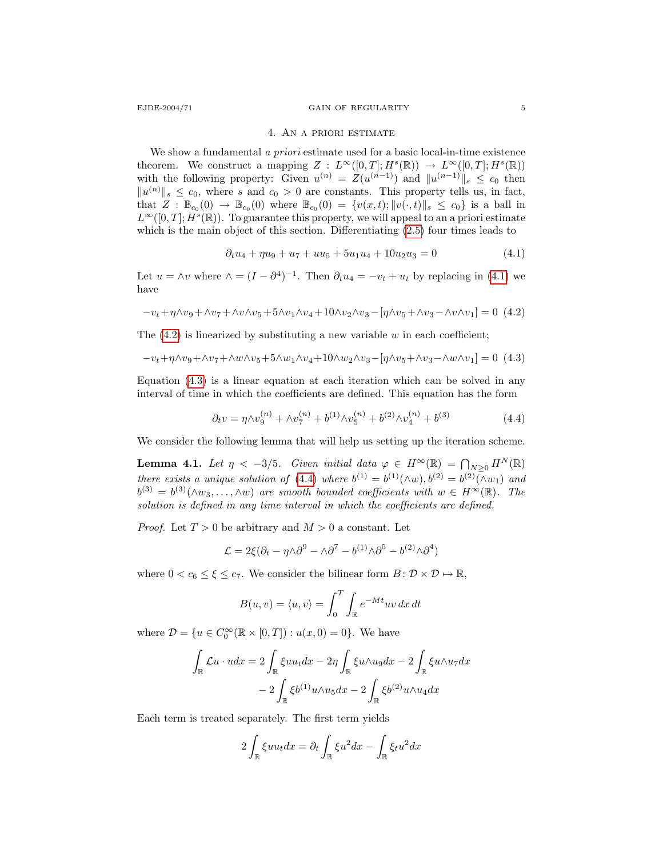#### EJDE-2004/71 GAIN OF REGULARITY 5

#### <span id="page-4-0"></span>4. An a priori estimate

We show a fundamental a priori estimate used for a basic local-in-time existence theorem. We construct a mapping  $Z : L^{\infty}([0,T]; H^s(\mathbb{R})) \to L^{\infty}([0,T]; H^s(\mathbb{R}))$ with the following property: Given  $u^{(n)} = Z(u^{(n-1)})$  and  $||u^{(n-1)}||_s \leq c_0$  then  $||u^{(n)}||_{s} \leq c_0$ , where s and  $c_0 > 0$  are constants. This property tells us, in fact, that  $Z : \mathbb{B}_{c_0}(0) \to \mathbb{B}_{c_0}(0)$  where  $\mathbb{B}_{c_0}(0) = \{v(x,t); ||v(\cdot,t)||_s \leq c_0\}$  is a ball in  $L^{\infty}([0,T]; H^s(\mathbb{R}))$ . To guarantee this property, we will appeal to an a priori estimate which is the main object of this section. Differentiating [\(2.5\)](#page-2-0) four times leads to

<span id="page-4-2"></span>
$$
\partial_t u_4 + \eta u_9 + u_7 + u u_5 + 5u_1 u_4 + 10u_2 u_3 = 0 \tag{4.1}
$$

<span id="page-4-1"></span>Let  $u = \wedge v$  where  $\wedge = (I - \partial^4)^{-1}$ . Then  $\partial_t u_4 = -v_t + u_t$  by replacing in [\(4.1\)](#page-4-0) we have

$$
-v_t+\eta\wedge v_9+\wedge v_7+\wedge v\wedge v_5+5\wedge v_1\wedge v_4+10\wedge v_2\wedge v_3-[\eta\wedge v_5+\wedge v_3-\wedge v\wedge v_1]=0\eqno(4.2)
$$

The  $(4.2)$  is linearized by substituting a new variable w in each coefficient;

$$
-v_t + \eta \wedge v_9 + \wedge v_7 + \wedge w \wedge v_5 + 5 \wedge w_1 \wedge v_4 + 10 \wedge w_2 \wedge v_3 - [\eta \wedge v_5 + \wedge v_3 - \wedge w \wedge v_1] = 0 \tag{4.3}
$$

Equation [\(4.3\)](#page-4-2) is a linear equation at each iteration which can be solved in any interval of time in which the coefficients are defined. This equation has the form

<span id="page-4-3"></span>
$$
\partial_t v = \eta \wedge v_9^{(n)} + \wedge v_7^{(n)} + b^{(1)} \wedge v_5^{(n)} + b^{(2)} \wedge v_4^{(n)} + b^{(3)}
$$
(4.4)

<span id="page-4-4"></span>We consider the following lemma that will help us setting up the iteration scheme.

**Lemma 4.1.** Let  $\eta < -3/5$ . Given initial data  $\varphi \in H^{\infty}(\mathbb{R}) = \bigcap_{N \geq 0} H^N(\mathbb{R})$ there exists a unique solution of [\(4.4\)](#page-4-3) where  $b^{(1)} = b^{(1)}(\wedge w)$ ,  $b^{(2)} = b^{(2)}(\wedge w_1)$  and  $b^{(3)} = b^{(3)}(\wedge w_3, \ldots, \wedge w)$  are smooth bounded coefficients with  $w \in H^{\infty}(\mathbb{R})$ . The solution is defined in any time interval in which the coefficients are defined.

*Proof.* Let  $T > 0$  be arbitrary and  $M > 0$  a constant. Let

$$
\mathcal{L} = 2\xi(\partial_t - \eta \wedge \partial^9 - \wedge \partial^7 - b^{(1)} \wedge \partial^5 - b^{(2)} \wedge \partial^4)
$$

where  $0 < c_6 \leq \xi \leq c_7$ . We consider the bilinear form  $B: \mathcal{D} \times \mathcal{D} \mapsto \mathbb{R}$ ,

$$
B(u, v) = \langle u, v \rangle = \int_0^T \int_{\mathbb{R}} e^{-Mt} uv \, dx \, dt
$$

where  $\mathcal{D} = \{u \in C_0^{\infty}(\mathbb{R} \times [0,T]) : u(x,0) = 0\}.$  We have

$$
\int_{\mathbb{R}} \mathcal{L}u \cdot u dx = 2 \int_{\mathbb{R}} \xi u u_t dx - 2\eta \int_{\mathbb{R}} \xi u \wedge u_9 dx - 2 \int_{\mathbb{R}} \xi u \wedge u_7 dx
$$

$$
- 2 \int_{\mathbb{R}} \xi b^{(1)} u \wedge u_5 dx - 2 \int_{\mathbb{R}} \xi b^{(2)} u \wedge u_4 dx
$$

Each term is treated separately. The first term yields

$$
2\int_{\mathbb{R}} \xi u u_t dx = \partial_t \int_{\mathbb{R}} \xi u^2 dx - \int_{\mathbb{R}} \xi_t u^2 dx
$$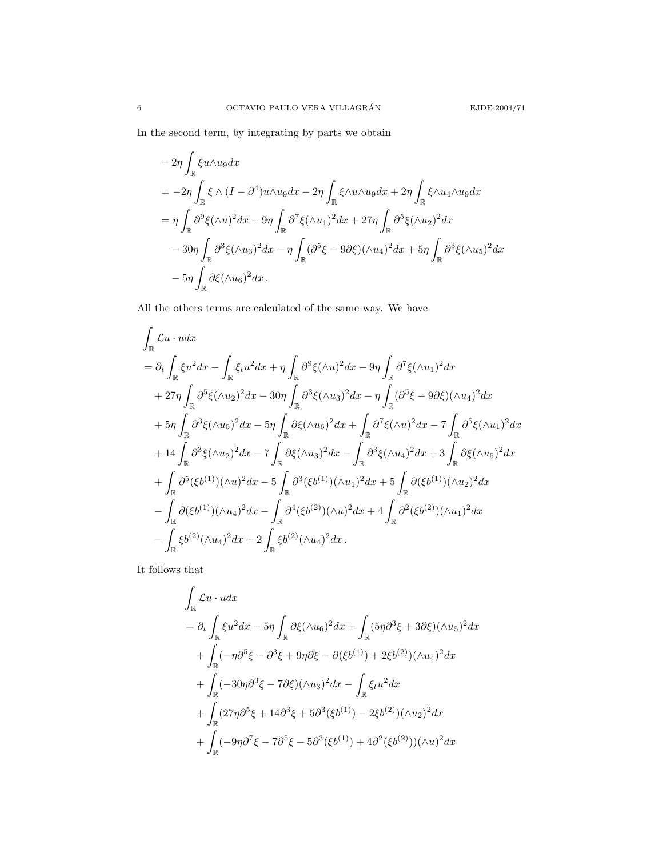In the second term, by integrating by parts we obtain

$$
-2\eta \int_{\mathbb{R}} \xi u \wedge u_9 dx
$$
  
=  $-2\eta \int_{\mathbb{R}} \xi \wedge (I - \partial^4) u \wedge u_9 dx - 2\eta \int_{\mathbb{R}} \xi \wedge u \wedge u_9 dx + 2\eta \int_{\mathbb{R}} \xi \wedge u_4 \wedge u_9 dx$   
=  $\eta \int_{\mathbb{R}} \partial^9 \xi (\wedge u)^2 dx - 9\eta \int_{\mathbb{R}} \partial^7 \xi (\wedge u_1)^2 dx + 27\eta \int_{\mathbb{R}} \partial^5 \xi (\wedge u_2)^2 dx$   
 $-30\eta \int_{\mathbb{R}} \partial^3 \xi (\wedge u_3)^2 dx - \eta \int_{\mathbb{R}} (\partial^5 \xi - 9\partial \xi)(\wedge u_4)^2 dx + 5\eta \int_{\mathbb{R}} \partial^3 \xi (\wedge u_5)^2 dx$   
 $-5\eta \int_{\mathbb{R}} \partial \xi (\wedge u_6)^2 dx.$ 

All the others terms are calculated of the same way. We have

$$
\int_{\mathbb{R}} \mathcal{L}u \cdot u dx
$$
\n
$$
= \partial_{t} \int_{\mathbb{R}} \xi u^{2} dx - \int_{\mathbb{R}} \xi_{t} u^{2} dx + \eta \int_{\mathbb{R}} \partial^{9} \xi (\wedge u)^{2} dx - 9\eta \int_{\mathbb{R}} \partial^{7} \xi (\wedge u_{1})^{2} dx
$$
\n
$$
+ 27\eta \int_{\mathbb{R}} \partial^{5} \xi (\wedge u_{2})^{2} dx - 30\eta \int_{\mathbb{R}} \partial^{3} \xi (\wedge u_{3})^{2} dx - \eta \int_{\mathbb{R}} (\partial^{5} \xi - 9\partial \xi)(\wedge u_{4})^{2} dx
$$
\n
$$
+ 5\eta \int_{\mathbb{R}} \partial^{3} \xi (\wedge u_{5})^{2} dx - 5\eta \int_{\mathbb{R}} \partial \xi (\wedge u_{6})^{2} dx + \int_{\mathbb{R}} \partial^{7} \xi (\wedge u)^{2} dx - 7 \int_{\mathbb{R}} \partial^{5} \xi (\wedge u_{1})^{2} dx
$$
\n
$$
+ 14 \int_{\mathbb{R}} \partial^{3} \xi (\wedge u_{2})^{2} dx - 7 \int_{\mathbb{R}} \partial \xi (\wedge u_{3})^{2} dx - \int_{\mathbb{R}} \partial^{3} \xi (\wedge u_{4})^{2} dx + 3 \int_{\mathbb{R}} \partial \xi (\wedge u_{5})^{2} dx
$$
\n
$$
+ \int_{\mathbb{R}} \partial^{5} (\xi b^{(1)}) (\wedge u)^{2} dx - 5 \int_{\mathbb{R}} \partial^{3} (\xi b^{(1)}) (\wedge u_{1})^{2} dx + 5 \int_{\mathbb{R}} \partial (\xi b^{(1)}) (\wedge u_{2})^{2} dx
$$
\n
$$
- \int_{\mathbb{R}} \partial (\xi b^{(1)}) (\wedge u_{4})^{2} dx - \int_{\mathbb{R}} \partial^{4} (\xi b^{(2)}) (\wedge u)^{2} dx + 4 \int_{\mathbb{R}} \partial^{2} (\xi b^{(2)}) (\wedge u_{1})^{2} dx
$$
\n
$$
- \int_{\mathbb{R}} \xi b^{(2)} (\wedge u_{4})^{2} dx + 2 \int_{\mathbb{R}}
$$

It follows that

$$
\int_{\mathbb{R}} \mathcal{L}u \cdot u dx
$$
\n
$$
= \partial_t \int_{\mathbb{R}} \xi u^2 dx - 5\eta \int_{\mathbb{R}} \partial \xi (\wedge u_6)^2 dx + \int_{\mathbb{R}} (5\eta \partial^3 \xi + 3\partial \xi)(\wedge u_5)^2 dx
$$
\n
$$
+ \int_{\mathbb{R}} (-\eta \partial^5 \xi - \partial^3 \xi + 9\eta \partial \xi - \partial (\xi b^{(1)}) + 2\xi b^{(2)})(\wedge u_4)^2 dx
$$
\n
$$
+ \int_{\mathbb{R}} (-30\eta \partial^3 \xi - 7\partial \xi)(\wedge u_3)^2 dx - \int_{\mathbb{R}} \xi_t u^2 dx
$$
\n
$$
+ \int_{\mathbb{R}} (27\eta \partial^5 \xi + 14\partial^3 \xi + 5\partial^3 (\xi b^{(1)}) - 2\xi b^{(2)})(\wedge u_2)^2 dx
$$
\n
$$
+ \int_{\mathbb{R}} (-9\eta \partial^7 \xi - 7\partial^5 \xi - 5\partial^3 (\xi b^{(1)}) + 4\partial^2 (\xi b^{(2)})) (\wedge u)^2 dx
$$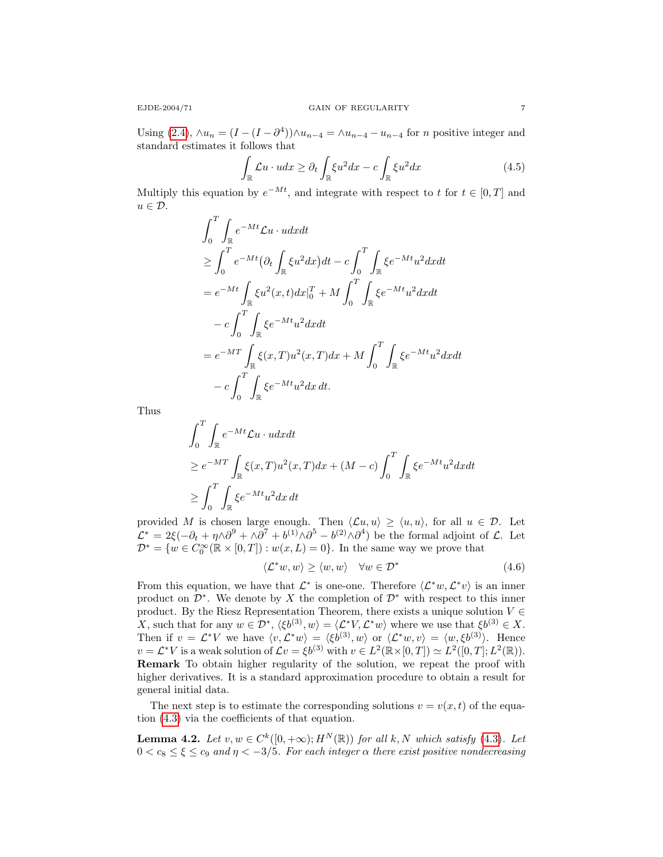Using [\(2.4\)](#page-1-1),  $\wedge u_n = (I - (I - \partial^4)) \wedge u_{n-4} = \wedge u_{n-4} - u_{n-4}$  for *n* positive integer and standard estimates it follows that

$$
\int_{\mathbb{R}} \mathcal{L}u \cdot u dx \ge \partial_t \int_{\mathbb{R}} \xi u^2 dx - c \int_{\mathbb{R}} \xi u^2 dx \tag{4.5}
$$

Multiply this equation by  $e^{-Mt}$ , and integrate with respect to t for  $t \in [0, T]$  and  $u \in \mathcal{D}$ .

$$
\int_0^T \int_{\mathbb{R}} e^{-Mt} \mathcal{L}u \cdot u dx dt
$$
\n
$$
\geq \int_0^T e^{-Mt} (\partial_t \int_{\mathbb{R}} \xi u^2 dx) dt - c \int_0^T \int_{\mathbb{R}} \xi e^{-Mt} u^2 dx dt
$$
\n
$$
= e^{-Mt} \int_{\mathbb{R}} \xi u^2(x, t) dx_0^T + M \int_0^T \int_{\mathbb{R}} \xi e^{-Mt} u^2 dx dt
$$
\n
$$
- c \int_0^T \int_{\mathbb{R}} \xi e^{-Mt} u^2 dx dt
$$
\n
$$
= e^{-MT} \int_{\mathbb{R}} \xi(x, T) u^2(x, T) dx + M \int_0^T \int_{\mathbb{R}} \xi e^{-Mt} u^2 dx dt
$$
\n
$$
- c \int_0^T \int_{\mathbb{R}} \xi e^{-Mt} u^2 dx dt.
$$

Thus

$$
\int_0^T \int_{\mathbb{R}} e^{-Mt} \mathcal{L}u \cdot u dx dt
$$
\n
$$
\geq e^{-MT} \int_{\mathbb{R}} \xi(x, T) u^2(x, T) dx + (M - c) \int_0^T \int_{\mathbb{R}} \xi e^{-Mt} u^2 dx dt
$$
\n
$$
\geq \int_0^T \int_{\mathbb{R}} \xi e^{-Mt} u^2 dx dt
$$

provided M is chosen large enough. Then  $\langle \mathcal{L}u, u \rangle \ge \langle u, u \rangle$ , for all  $u \in \mathcal{D}$ . Let  $\mathcal{L}^* = 2\xi(-\partial_t + \eta \wedge \partial^9 + \wedge \partial^7 + b^{(1)} \wedge \partial^5 - b^{(2)} \wedge \partial^4)$  be the formal adjoint of  $\mathcal{L}$ . Let  $\mathcal{D}^* = \{w \in C_0^\infty(\mathbb{R} \times [0,T]) : w(x,L) = 0\}.$  In the same way we prove that

$$
\langle \mathcal{L}^* w, w \rangle \ge \langle w, w \rangle \quad \forall w \in \mathcal{D}^* \tag{4.6}
$$

From this equation, we have that  $\mathcal{L}^*$  is one-one. Therefore  $\langle \mathcal{L}^* w, \mathcal{L}^* v \rangle$  is an inner product on  $\mathcal{D}^*$ . We denote by X the completion of  $\mathcal{D}^*$  with respect to this inner product. By the Riesz Representation Theorem, there exists a unique solution  $V \in$ X, such that for any  $w \in \mathcal{D}^*, \langle \xi b^{(3)}, w \rangle = \langle \mathcal{L}^* V, \mathcal{L}^* w \rangle$  where we use that  $\xi b^{(3)} \in X$ . Then if  $v = \mathcal{L}^* V$  we have  $\langle v, \mathcal{L}^* w \rangle = \langle \xi b^{(3)}, w \rangle$  or  $\langle \mathcal{L}^* w, v \rangle = \langle w, \xi b^{(3)} \rangle$ . Hence  $v = \mathcal{L}^* V$  is a weak solution of  $\mathcal{L}v = \xi b^{(3)}$  with  $v \in L^2(\mathbb{R} \times [0,T]) \simeq L^2([0,T]; L^2(\mathbb{R}))$ . Remark To obtain higher regularity of the solution, we repeat the proof with higher derivatives. It is a standard approximation procedure to obtain a result for general initial data.

The next step is to estimate the corresponding solutions  $v = v(x, t)$  of the equation [\(4.3\)](#page-4-2) via the coefficients of that equation.

<span id="page-6-0"></span>**Lemma 4.2.** Let  $v, w \in C^k([0, +\infty); H^N(\mathbb{R}))$  for all k, N which satisfy [\(4.3\)](#page-4-2). Let  $0 < c_8 \leq \xi \leq c_9$  and  $\eta < -3/5$ . For each integer  $\alpha$  there exist positive nondecreasing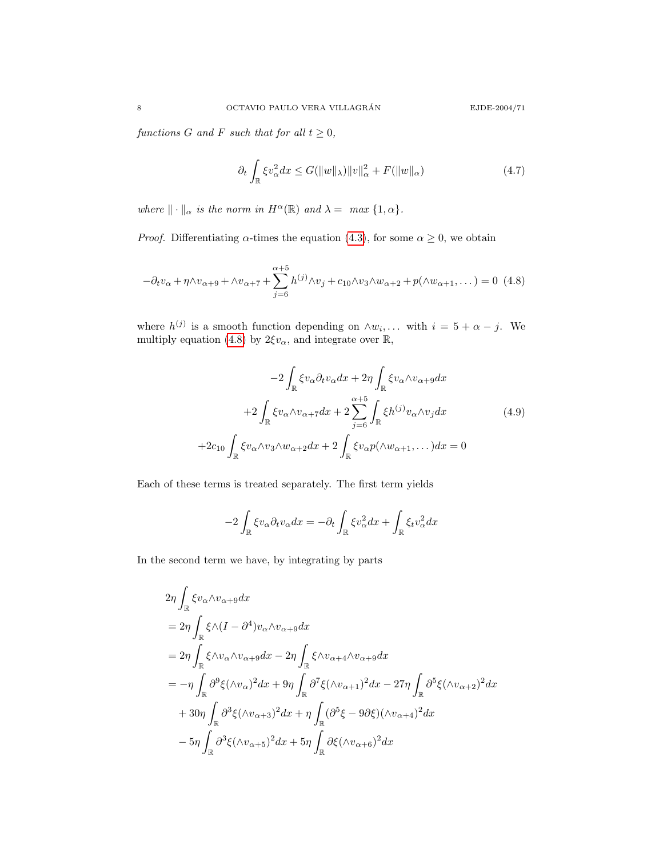functions G and F such that for all  $t \geq 0$ ,

<span id="page-7-0"></span>
$$
\partial_t \int_{\mathbb{R}} \xi v_\alpha^2 dx \le G(||w||_\lambda) ||v||_\alpha^2 + F(||w||_\alpha)
$$
\n(4.7)

 $\textit{where } \|\cdot\|_{\alpha} \textit{ is the norm in } H^{\alpha}(\mathbb{R}) \textit{ and } \lambda = \textit{ max } \{1, \alpha\}.$ 

*Proof.* Differentiating  $\alpha$ -times the equation [\(4.3\)](#page-4-2), for some  $\alpha \geq 0$ , we obtain

$$
-\partial_t v_\alpha + \eta \wedge v_{\alpha+9} + \wedge v_{\alpha+7} + \sum_{j=6}^{\alpha+5} h^{(j)} \wedge v_j + c_{10} \wedge v_3 \wedge w_{\alpha+2} + p(\wedge w_{\alpha+1}, \dots) = 0
$$
 (4.8)

where  $h^{(j)}$  is a smooth function depending on  $\wedge w_i, \dots$  with  $i = 5 + \alpha - j$ . We multiply equation [\(4.8\)](#page-7-0) by  $2\xi v_{\alpha}$ , and integrate over  $\mathbb{R}$ ,

<span id="page-7-1"></span>
$$
-2\int_{\mathbb{R}} \xi v_{\alpha} \partial_t v_{\alpha} dx + 2\eta \int_{\mathbb{R}} \xi v_{\alpha} \wedge v_{\alpha+9} dx
$$

$$
+2\int_{\mathbb{R}} \xi v_{\alpha} \wedge v_{\alpha+7} dx + 2\sum_{j=6}^{\alpha+5} \int_{\mathbb{R}} \xi h^{(j)} v_{\alpha} \wedge v_j dx
$$

$$
+2c_{10} \int_{\mathbb{R}} \xi v_{\alpha} \wedge v_3 \wedge w_{\alpha+2} dx + 2\int_{\mathbb{R}} \xi v_{\alpha} p(\wedge w_{\alpha+1}, \dots) dx = 0
$$
\n(4.9)

Each of these terms is treated separately. The first term yields

$$
-2\int_{\mathbb{R}} \xi v_{\alpha} \partial_t v_{\alpha} dx = -\partial_t \int_{\mathbb{R}} \xi v_{\alpha}^2 dx + \int_{\mathbb{R}} \xi_t v_{\alpha}^2 dx
$$

In the second term we have, by integrating by parts

$$
2\eta \int_{\mathbb{R}} \xi v_{\alpha} \wedge v_{\alpha+9} dx
$$
  
\n
$$
= 2\eta \int_{\mathbb{R}} \xi \wedge (I - \partial^{4}) v_{\alpha} \wedge v_{\alpha+9} dx
$$
  
\n
$$
= 2\eta \int_{\mathbb{R}} \xi \wedge v_{\alpha} \wedge v_{\alpha+9} dx - 2\eta \int_{\mathbb{R}} \xi \wedge v_{\alpha+4} \wedge v_{\alpha+9} dx
$$
  
\n
$$
= -\eta \int_{\mathbb{R}} \partial^{9} \xi (\wedge v_{\alpha})^{2} dx + 9\eta \int_{\mathbb{R}} \partial^{7} \xi (\wedge v_{\alpha+1})^{2} dx - 27\eta \int_{\mathbb{R}} \partial^{5} \xi (\wedge v_{\alpha+2})^{2} dx
$$
  
\n
$$
+ 30\eta \int_{\mathbb{R}} \partial^{3} \xi (\wedge v_{\alpha+3})^{2} dx + \eta \int_{\mathbb{R}} (\partial^{5} \xi - 9\partial \xi)(\wedge v_{\alpha+4})^{2} dx
$$
  
\n
$$
- 5\eta \int_{\mathbb{R}} \partial^{3} \xi (\wedge v_{\alpha+5})^{2} dx + 5\eta \int_{\mathbb{R}} \partial \xi (\wedge v_{\alpha+6})^{2} dx
$$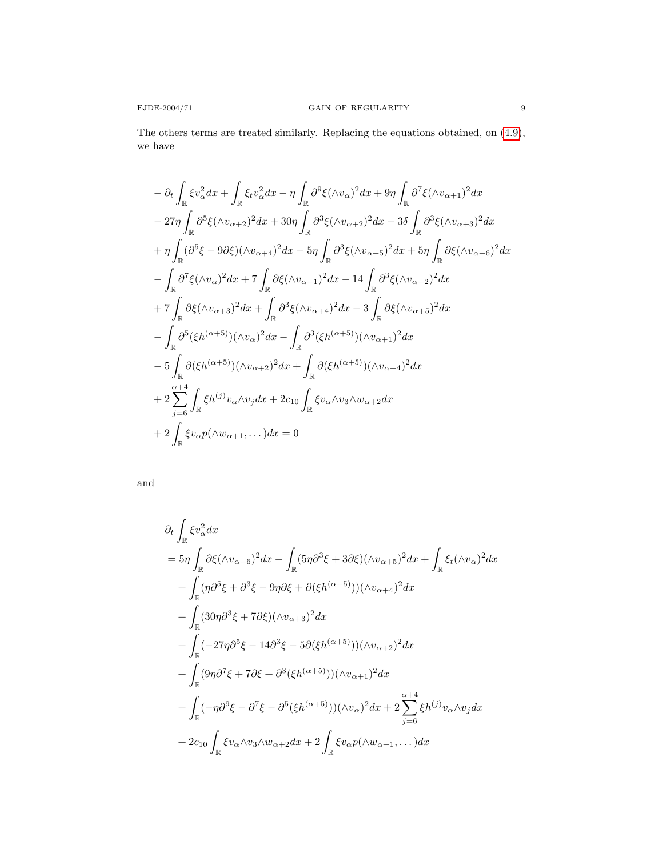The others terms are treated similarly. Replacing the equations obtained, on [\(4.9\)](#page-7-1), we have

$$
- \partial_t \int_{\mathbb{R}} \xi v_\alpha^2 dx + \int_{\mathbb{R}} \xi_t v_\alpha^2 dx - \eta \int_{\mathbb{R}} \partial^9 \xi (\wedge v_\alpha)^2 dx + 9\eta \int_{\mathbb{R}} \partial^7 \xi (\wedge v_{\alpha+1})^2 dx
$$
  
\n
$$
- 27\eta \int_{\mathbb{R}} \partial^5 \xi (\wedge v_{\alpha+2})^2 dx + 30\eta \int_{\mathbb{R}} \partial^3 \xi (\wedge v_{\alpha+2})^2 dx - 3\delta \int_{\mathbb{R}} \partial^3 \xi (\wedge v_{\alpha+3})^2 dx
$$
  
\n
$$
+ \eta \int_{\mathbb{R}} (\partial^5 \xi - 9\partial \xi) (\wedge v_{\alpha+4})^2 dx - 5\eta \int_{\mathbb{R}} \partial^3 \xi (\wedge v_{\alpha+5})^2 dx + 5\eta \int_{\mathbb{R}} \partial \xi (\wedge v_{\alpha+6})^2 dx
$$
  
\n
$$
- \int_{\mathbb{R}} \partial^7 \xi (\wedge v_\alpha)^2 dx + 7 \int_{\mathbb{R}} \partial \xi (\wedge v_{\alpha+1})^2 dx - 14 \int_{\mathbb{R}} \partial^3 \xi (\wedge v_{\alpha+2})^2 dx
$$
  
\n
$$
+ 7 \int_{\mathbb{R}} \partial \xi (\wedge v_{\alpha+3})^2 dx + \int_{\mathbb{R}} \partial^3 \xi (\wedge v_{\alpha+4})^2 dx - 3 \int_{\mathbb{R}} \partial \xi (\wedge v_{\alpha+5})^2 dx
$$
  
\n
$$
- \int_{\mathbb{R}} \partial^5 (\xi h^{(\alpha+5)}) (\wedge v_\alpha)^2 dx - \int_{\mathbb{R}} \partial^3 (\xi h^{(\alpha+5)}) (\wedge v_{\alpha+1})^2 dx
$$
  
\n
$$
- 5 \int_{\mathbb{R}} \partial (\xi h^{(\alpha+5)}) (\wedge v_{\alpha+2})^2 dx + \int_{\mathbb{R}} \partial (\xi h^{(\alpha+5)}) (\wedge v_{\alpha+4})^2 dx
$$
  
\n
$$
+ 2 \sum_{j=6}^{\alpha+4} \int_{\mathbb{R}} \xi h^{(j)} v_\alpha \wedge v_j dx + 2c_{10} \int_{\mathbb{R}} \xi
$$

and

$$
\partial_t \int_{\mathbb{R}} \xi v_\alpha^2 dx
$$
\n
$$
= 5\eta \int_{\mathbb{R}} \partial \xi (\wedge v_{\alpha+6})^2 dx - \int_{\mathbb{R}} (5\eta \partial^3 \xi + 3\partial \xi)(\wedge v_{\alpha+5})^2 dx + \int_{\mathbb{R}} \xi_t (\wedge v_\alpha)^2 dx
$$
\n
$$
+ \int_{\mathbb{R}} (\eta \partial^5 \xi + \partial^3 \xi - 9\eta \partial \xi + \partial (\xi h^{(\alpha+5)})) (\wedge v_{\alpha+4})^2 dx
$$
\n
$$
+ \int_{\mathbb{R}} (30\eta \partial^3 \xi + 7\partial \xi)(\wedge v_{\alpha+3})^2 dx
$$
\n
$$
+ \int_{\mathbb{R}} (-27\eta \partial^5 \xi - 14\partial^3 \xi - 5\partial (\xi h^{(\alpha+5)})) (\wedge v_{\alpha+2})^2 dx
$$
\n
$$
+ \int_{\mathbb{R}} (9\eta \partial^7 \xi + 7\partial \xi + \partial^3 (\xi h^{(\alpha+5)})) (\wedge v_{\alpha+1})^2 dx
$$
\n
$$
+ \int_{\mathbb{R}} (-\eta \partial^9 \xi - \partial^7 \xi - \partial^5 (\xi h^{(\alpha+5)})) (\wedge v_\alpha)^2 dx + 2 \sum_{j=6}^{\alpha+4} \xi h^{(j)} v_\alpha \wedge v_j dx
$$
\n
$$
+ 2c_{10} \int_{\mathbb{R}} \xi v_\alpha \wedge v_3 \wedge w_{\alpha+2} dx + 2 \int_{\mathbb{R}} \xi v_\alpha p (\wedge w_{\alpha+1}, \dots) dx
$$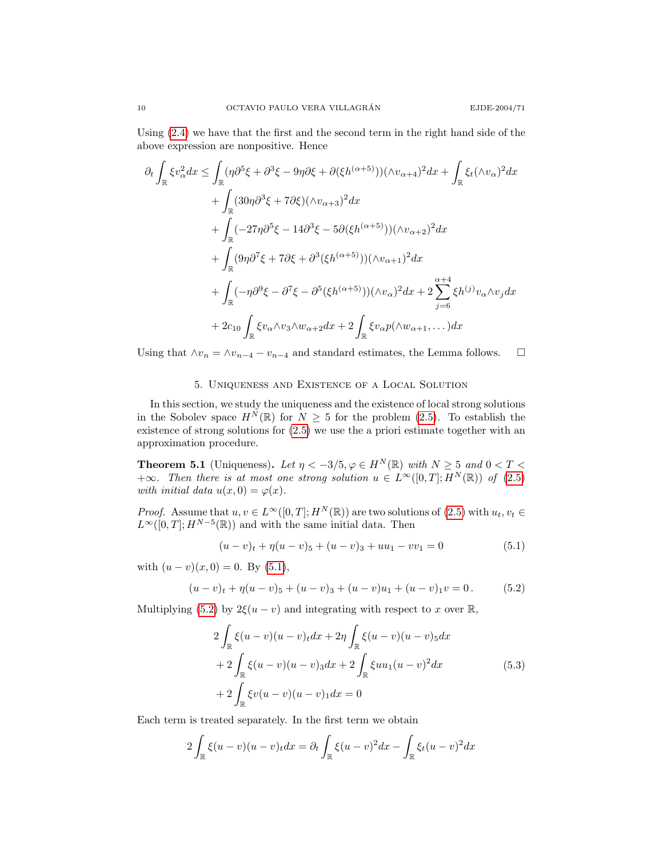Using [\(2.4\)](#page-1-1) we have that the first and the second term in the right hand side of the above expression are nonpositive. Hence

$$
\partial_t \int_{\mathbb{R}} \xi v_\alpha^2 dx \le \int_{\mathbb{R}} (\eta \partial^5 \xi + \partial^3 \xi - 9\eta \partial \xi + \partial (\xi h^{(\alpha+5)})) (\wedge v_{\alpha+4})^2 dx + \int_{\mathbb{R}} \xi_t (\wedge v_\alpha)^2 dx \n+ \int_{\mathbb{R}} (30\eta \partial^3 \xi + 7\partial \xi) (\wedge v_{\alpha+3})^2 dx \n+ \int_{\mathbb{R}} (-27\eta \partial^5 \xi - 14\partial^3 \xi - 5\partial (\xi h^{(\alpha+5)})) (\wedge v_{\alpha+2})^2 dx \n+ \int_{\mathbb{R}} (9\eta \partial^7 \xi + 7\partial \xi + \partial^3 (\xi h^{(\alpha+5)})) (\wedge v_{\alpha+1})^2 dx \n+ \int_{\mathbb{R}} (-\eta \partial^9 \xi - \partial^7 \xi - \partial^5 (\xi h^{(\alpha+5)})) (\wedge v_\alpha)^2 dx + 2 \sum_{j=6}^{\alpha+4} \xi h^{(j)} v_\alpha \wedge v_j dx \n+ 2c_{10} \int_{\mathbb{R}} \xi v_\alpha \wedge v_3 \wedge w_{\alpha+2} dx + 2 \int_{\mathbb{R}} \xi v_\alpha p (\wedge w_{\alpha+1}, \dots) dx
$$

Using that  $\wedge v_n = \wedge v_{n-4} - v_{n-4}$  and standard estimates, the Lemma follows.  $\quad \Box$ 

## 5. Uniqueness and Existence of a Local Solution

In this section, we study the uniqueness and the existence of local strong solutions in the Sobolev space  $H^N(\mathbb{R})$  for  $N \geq 5$  for the problem [\(2.5\)](#page-2-0). To establish the existence of strong solutions for [\(2.5\)](#page-2-0) we use the a priori estimate together with an approximation procedure.

<span id="page-9-3"></span>**Theorem 5.1** (Uniqueness). Let  $\eta < -3/5, \varphi \in H^N(\mathbb{R})$  with  $N \geq 5$  and  $0 < T <$  $+\infty$ . Then there is at most one strong solution  $u \in L^{\infty}([0,T];H^N(\mathbb{R}))$  of [\(2.5\)](#page-2-0) with initial data  $u(x, 0) = \varphi(x)$ .

*Proof.* Assume that  $u, v \in L^{\infty}([0, T]; H^N(\mathbb{R}))$  are two solutions of  $(2.5)$  with  $u_t, v_t \in$  $L^{\infty}([0,T]; H^{N-5}(\mathbb{R}))$  and with the same initial data. Then

<span id="page-9-2"></span><span id="page-9-1"></span><span id="page-9-0"></span>
$$
(u-v)_t + \eta (u-v)_5 + (u-v)_3 + uu_1 - vv_1 = 0 \tag{5.1}
$$

with  $(u - v)(x, 0) = 0$ . By [\(5.1\)](#page-9-0),

$$
(u-v)_t + \eta (u-v)_5 + (u-v)_3 + (u-v)u_1 + (u-v)_1v = 0.
$$
 (5.2)

Multiplying [\(5.2\)](#page-9-1) by  $2\xi(u-v)$  and integrating with respect to x over  $\mathbb{R}$ ,

$$
2\int_{\mathbb{R}} \xi(u-v)(u-v)_t dx + 2\eta \int_{\mathbb{R}} \xi(u-v)(u-v)_5 dx
$$
  
+2\int\_{\mathbb{R}} \xi(u-v)(u-v)\_3 dx + 2\int\_{\mathbb{R}} \xi u u\_1(u-v)^2 dx  
+2\int\_{\mathbb{R}} \xi v(u-v)(u-v)\_1 dx = 0  
(5.3)

Each term is treated separately. In the first term we obtain

$$
2\int_{\mathbb{R}} \xi(u-v)(u-v)_t dx = \partial_t \int_{\mathbb{R}} \xi(u-v)^2 dx - \int_{\mathbb{R}} \xi_t(u-v)^2 dx
$$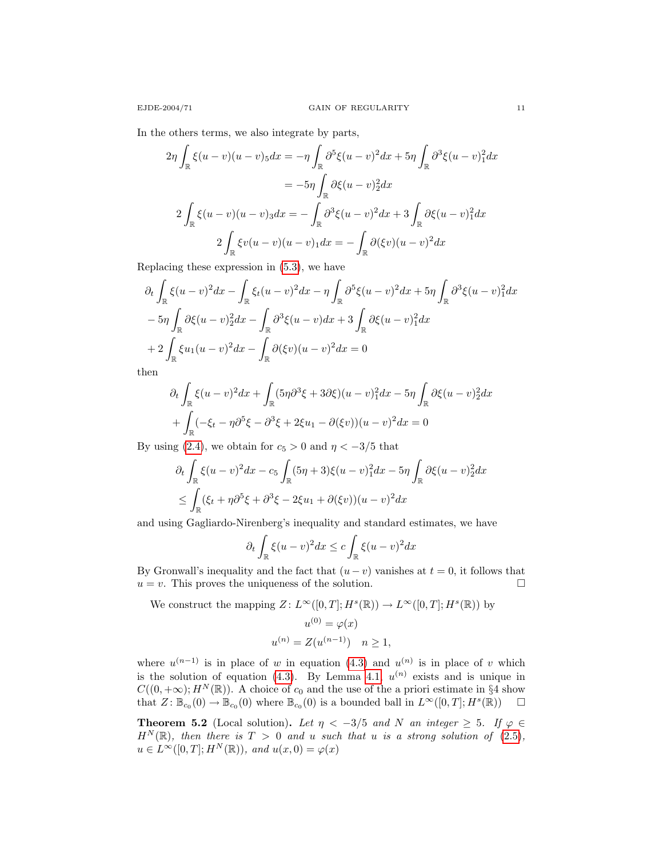In the others terms, we also integrate by parts,

$$
2\eta \int_{\mathbb{R}} \xi(u-v)(u-v)5 dx = -\eta \int_{\mathbb{R}} \partial^5 \xi(u-v)^2 dx + 5\eta \int_{\mathbb{R}} \partial^3 \xi(u-v)1 dx
$$

$$
= -5\eta \int_{\mathbb{R}} \partial \xi(u-v)2 dx
$$

$$
2 \int_{\mathbb{R}} \xi(u-v)(u-v)3 dx = -\int_{\mathbb{R}} \partial^3 \xi(u-v)^2 dx + 3 \int_{\mathbb{R}} \partial \xi(u-v)1 dx
$$

$$
2 \int_{\mathbb{R}} \xi(v(u-v)(u-v))1 dx = -\int_{\mathbb{R}} \partial (\xi v)(u-v)^2 dx
$$

Replacing these expression in [\(5.3\)](#page-9-2), we have

$$
\partial_t \int_{\mathbb{R}} \xi (u-v)^2 dx - \int_{\mathbb{R}} \xi_t (u-v)^2 dx - \eta \int_{\mathbb{R}} \partial^5 \xi (u-v)^2 dx + 5\eta \int_{\mathbb{R}} \partial^3 \xi (u-v)_1^2 dx
$$

$$
-5\eta \int_{\mathbb{R}} \partial \xi (u-v)_2^2 dx - \int_{\mathbb{R}} \partial^3 \xi (u-v) dx + 3 \int_{\mathbb{R}} \partial \xi (u-v)_1^2 dx
$$

$$
+2 \int_{\mathbb{R}} \xi u_1 (u-v)^2 dx - \int_{\mathbb{R}} \partial (\xi v) (u-v)^2 dx = 0
$$

then

$$
\partial_t \int_{\mathbb{R}} \xi (u-v)^2 dx + \int_{\mathbb{R}} (5\eta \partial^3 \xi + 3\partial \xi)(u-v)_1^2 dx - 5\eta \int_{\mathbb{R}} \partial \xi (u-v)_2^2 dx
$$

$$
+ \int_{\mathbb{R}} (-\xi_t - \eta \partial^5 \xi - \partial^3 \xi + 2\xi u_1 - \partial(\xi v))(u-v)^2 dx = 0
$$

By using [\(2.4\)](#page-1-1), we obtain for  $c_5 > 0$  and  $\eta < -3/5$  that

$$
\partial_t \int_{\mathbb{R}} \xi (u-v)^2 dx - c_5 \int_{\mathbb{R}} (5\eta + 3)\xi (u-v)_1^2 dx - 5\eta \int_{\mathbb{R}} \partial \xi (u-v)_2^2 dx
$$
  

$$
\leq \int_{\mathbb{R}} (\xi_t + \eta \partial^5 \xi + \partial^3 \xi - 2\xi u_1 + \partial(\xi v))(u-v)^2 dx
$$

and using Gagliardo-Nirenberg's inequality and standard estimates, we have

$$
\partial_t \int_{\mathbb{R}} \xi (u-v)^2 dx \leq c \int_{\mathbb{R}} \xi (u-v)^2 dx
$$

By Gronwall's inequality and the fact that  $(u - v)$  vanishes at  $t = 0$ , it follows that  $u = v$ . This proves the uniqueness of the solution.

We construct the mapping  $Z: L^{\infty}([0,T]; H^s(\mathbb{R})) \to L^{\infty}([0,T]; H^s(\mathbb{R}))$  by

$$
u^{(0)} = \varphi(x)
$$
  

$$
u^{(n)} = Z(u^{(n-1)}) \quad n \ge 1,
$$

where  $u^{(n-1)}$  is in place of w in equation [\(4.3\)](#page-4-2) and  $u^{(n)}$  is in place of v which is the solution of equation [\(4.3\)](#page-4-2). By Lemma [4.1,](#page-4-4)  $u^{(n)}$  exists and is unique in  $C((0, +\infty); H^N(\mathbb{R})$ . A choice of  $c_0$  and the use of the a priori estimate in §4 show that  $Z: \mathbb{B}_{c_0}(0) \to \mathbb{B}_{c_0}(0)$  where  $\mathbb{B}_{c_0}(0)$  is a bounded ball in  $L^{\infty}([0,T]; H^s(\mathbb{R}))$   $\square$ 

<span id="page-10-0"></span>**Theorem 5.2** (Local solution). Let  $\eta < -3/5$  and N an integer  $\geq 5$ . If  $\varphi \in$  $H^N(\mathbb{R})$ , then there is  $T > 0$  and u such that u is a strong solution of [\(2.5\)](#page-2-0),  $u \in L^{\infty}([0,T]; H^N(\mathbb{R}))$ , and  $u(x, 0) = \varphi(x)$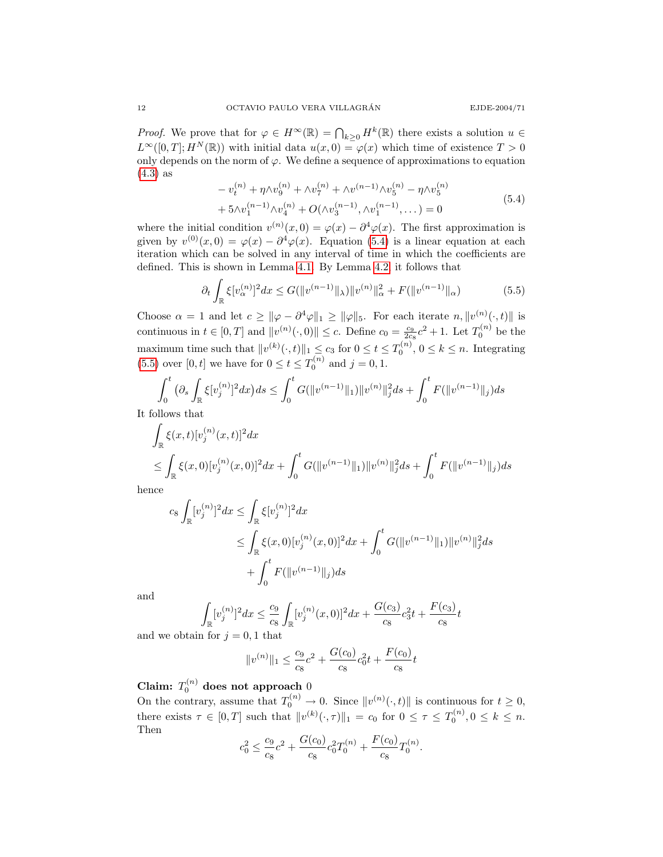*Proof.* We prove that for  $\varphi \in H^{\infty}(\mathbb{R}) = \bigcap_{k \geq 0} H^k(\mathbb{R})$  there exists a solution  $u \in$  $L^{\infty}([0,T]; H^N(\mathbb{R}))$  with initial data  $u(x, 0) = \varphi(x)$  which time of existence  $T > 0$ only depends on the norm of  $\varphi$ . We define a sequence of approximations to equation [\(4.3\)](#page-4-2) as

<span id="page-11-1"></span><span id="page-11-0"></span>
$$
-v_t^{(n)} + \eta \wedge v_9^{(n)} + \wedge v_7^{(n)} + \wedge v_9^{(n-1)} \wedge v_5^{(n)} - \eta \wedge v_5^{(n)}
$$
  
+ 
$$
5 \wedge v_1^{(n-1)} \wedge v_4^{(n)} + O(\wedge v_3^{(n-1)}, \wedge v_1^{(n-1)}, \dots) = 0
$$
 (5.4)

where the initial condition  $v^{(n)}(x,0) = \varphi(x) - \partial^4 \varphi(x)$ . The first approximation is given by  $v^{(0)}(x,0) = \varphi(x) - \partial^4 \varphi(x)$ . Equation [\(5.4\)](#page-11-0) is a linear equation at each iteration which can be solved in any interval of time in which the coefficients are defined. This is shown in Lemma [4.1.](#page-4-4) By Lemma [4.2,](#page-6-0) it follows that

$$
\partial_t \int_{\mathbb{R}} \xi [v_\alpha^{(n)}]^2 dx \le G(||v^{(n-1)}||_\lambda) ||v^{(n)}||_\alpha^2 + F(||v^{(n-1)}||_\alpha) \tag{5.5}
$$

Choose  $\alpha = 1$  and let  $c \geq ||\varphi - \partial^4 \varphi||_1 \geq ||\varphi||_5$ . For each iterate  $n, ||v^{(n)}(\cdot, t)||$  is continuous in  $t \in [0, T]$  and  $||v^{(n)}(\cdot, 0)|| \le c$ . Define  $c_0 = \frac{c_9}{2c_8}c^2 + 1$ . Let  $T_0^{(n)}$  be the maximum time such that  $||v^{(k)}(\cdot, t)||_1 \le c_3$  for  $0 \le t \le T_0^{(n)}$ ,  $0 \le k \le n$ . Integrating [\(5.5\)](#page-11-1) over [0, t] we have for  $0 \le t \le T_0^{(n)}$  and  $j = 0, 1$ .

$$
\int_0^t \left( \partial_s \int_{\mathbb{R}} \xi [v_j^{(n)}]^2 dx \right) ds \le \int_0^t G(||v^{(n-1)}||_1) ||v^{(n)}||_j^2 ds + \int_0^t F(||v^{(n-1)}||_j) ds
$$

It follows that

$$
\int_{\mathbb{R}} \xi(x,t) [v_j^{(n)}(x,t)]^2 dx
$$
\n
$$
\leq \int_{\mathbb{R}} \xi(x,0) [v_j^{(n)}(x,0)]^2 dx + \int_0^t G(||v^{(n-1)}||_1) ||v^{(n)}||_j^2 ds + \int_0^t F(||v^{(n-1)}||_j) ds
$$

hence

$$
c_8 \int_{\mathbb{R}} [v_j^{(n)}]^2 dx \le \int_{\mathbb{R}} \xi [v_j^{(n)}]^2 dx
$$
  
\n
$$
\le \int_{\mathbb{R}} \xi(x,0) [v_j^{(n)}(x,0)]^2 dx + \int_0^t G(||v^{(n-1)}||_1) ||v^{(n)}||_j^2 ds
$$
  
\n
$$
+ \int_0^t F(||v^{(n-1)}||_j) ds
$$

and

$$
\int_{\mathbb{R}} [v_j^{(n)}]^2 dx \le \frac{c_9}{c_8} \int_{\mathbb{R}} [v_j^{(n)}(x, 0)]^2 dx + \frac{G(c_3)}{c_8} c_3^2 t + \frac{F(c_3)}{c_8} t
$$

and we obtain for  $j = 0, 1$  that

$$
||v^{(n)}||_1 \le \frac{c_9}{c_8}c^2 + \frac{G(c_0)}{c_8}c_0^2t + \frac{F(c_0)}{c_8}t
$$

Claim:  $T_0^{(n)}$  does not approach  $0$ 

On the contrary, assume that  $T_0^{(n)} \to 0$ . Since  $||v^{(n)}(\cdot, t)||$  is continuous for  $t \geq 0$ , there exists  $\tau \in [0, T]$  such that  $||v^{(k)}(\cdot, \tau)||_1 = c_0$  for  $0 \leq \tau \leq T_0^{(n)}$ ,  $0 \leq k \leq n$ . Then

$$
c_0^2 \le \frac{c_9}{c_8}c^2 + \frac{G(c_0)}{c_8}c_0^2T_0^{(n)} + \frac{F(c_0)}{c_8}T_0^{(n)}.
$$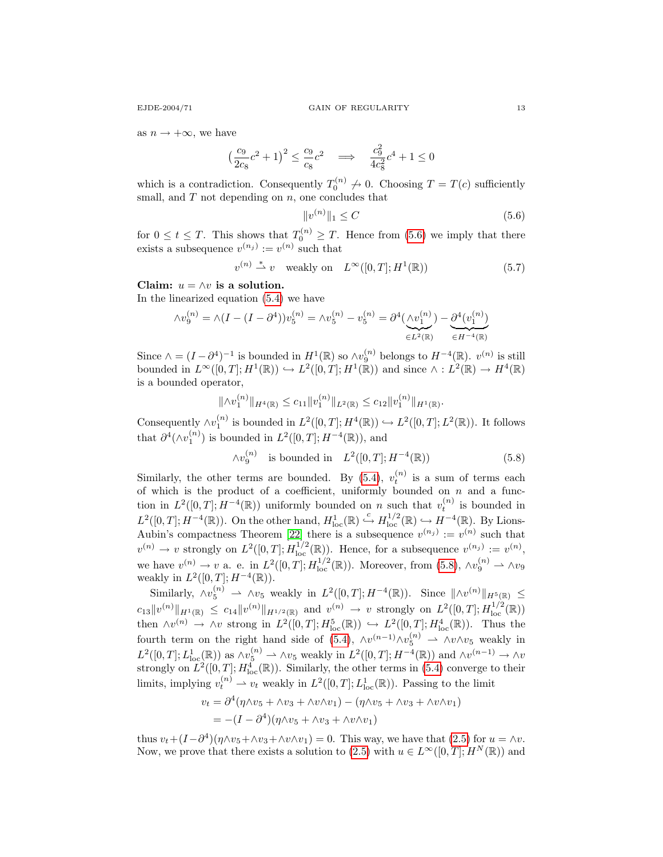as  $n \to +\infty$ , we have

$$
\left(\frac{c_9}{2c_8}c^2 + 1\right)^2 \le \frac{c_9}{c_8}c^2 \quad \Longrightarrow \quad \frac{c_9^2}{4c_8^2}c^4 + 1 \le 0
$$

which is a contradiction. Consequently  $T_0^{(n)} \nightharpoondown 0$ . Choosing  $T = T(c)$  sufficiently small, and  $T$  not depending on  $n$ , one concludes that

<span id="page-12-0"></span>
$$
||v^{(n)}||_1 \le C \tag{5.6}
$$

for  $0 \le t \le T$ . This shows that  $T_0^{(n)} \ge T$ . Hence from [\(5.6\)](#page-12-0) we imply that there exists a subsequence  $v^{(n_j)} := v^{(n)}$  such that

$$
v^{(n)} \stackrel{*}{\rightharpoonup} v \quad \text{weakly on} \quad L^{\infty}([0, T]; H^1(\mathbb{R})) \tag{5.7}
$$

Claim:  $u = \wedge v$  is a solution. In the linearized equation [\(5.4\)](#page-11-0) we have

$$
\wedge v_9^{(n)} = \wedge (I - (I - \partial^4)) v_5^{(n)} = \wedge v_5^{(n)} - v_5^{(n)} = \partial^4 (\underbrace{\wedge v_1^{(n)}}_{\in L^2(\mathbb{R})}) - \underbrace{\partial^4 (v_1^{(n)})}_{\in H^{-4}(\mathbb{R})}
$$

Since  $\wedge = (I - \partial^4)^{-1}$  is bounded in  $H^1(\mathbb{R})$  so  $\wedge v_9^{(n)}$  belongs to  $H^{-4}(\mathbb{R})$ .  $v^{(n)}$  is still bounded in  $L^{\infty}([0,T]; H^1(\mathbb{R})) \hookrightarrow L^2([0,T]; H^1(\mathbb{R}))$  and since  $\wedge : L^2(\mathbb{R}) \to H^4(\mathbb{R})$ is a bounded operator,

$$
\|\wedge v_1^{(n)}\|_{H^4(\mathbb{R})} \le c_{11} \|v_1^{(n)}\|_{L^2(\mathbb{R})} \le c_{12} \|v_1^{(n)}\|_{H^1(\mathbb{R})}.
$$

Consequently  $\wedge v_1^{(n)}$  is bounded in  $L^2([0,T]; H^4(\mathbb{R})) \hookrightarrow L^2([0,T]; L^2(\mathbb{R}))$ . It follows that  $\partial^4(\wedge v_1^{(n)})$  is bounded in  $L^2([0,T];H^{-4}(\mathbb{R}))$ , and

<span id="page-12-1"></span>
$$
\wedge v_9^{(n)} \quad \text{is bounded in} \quad L^2([0,T]; H^{-4}(\mathbb{R})) \tag{5.8}
$$

Similarly, the other terms are bounded. By [\(5.4\)](#page-11-0),  $v_t^{(n)}$  is a sum of terms each of which is the product of a coefficient, uniformly bounded on  $n$  and a function in  $L^2([0,T];H^{-4}(\mathbb{R}))$  uniformly bounded on n such that  $v_t^{(n)}$  is bounded in t  $L^2([0,T];H^{-4}(\mathbb{R}))$ . On the other hand,  $H^1_{loc}(\mathbb{R}) \xrightarrow{c} H^{1/2}_{loc}(\mathbb{R}) \hookrightarrow H^{-4}(\mathbb{R})$ . By Lions-Aubin's compactness Theorem [\[22\]](#page-23-9) there is a subsequence  $v^{(n_j)} := v^{(n)}$  such that  $v^{(n)} \to v$  strongly on  $L^2([0,T]; H^{1/2}_{loc}(\mathbb{R}))$ . Hence, for a subsequence  $v^{(n_j)} := v^{(n)}$ , we have  $v^{(n)} \to v$  a. e. in  $L^2([0,T]; H_{loc}^{1/2}(\mathbb{R}))$ . Moreover, from  $(5.8)$ ,  $\wedge v_9^{(n)} \to \wedge v_9$ weakly in  $L^2([0,T]; H^{-4}(\mathbb{R}))$ .

Similarly,  $\wedge v_5^{(n)} \rightharpoonup \wedge v_5$  weakly in  $L^2([0,T]; H^{-4}(\mathbb{R}))$ . Since  $\|\wedge v^{(n)}\|_{H^5(\mathbb{R})} \le$  $c_{13}||v^{(n)}||_{H^1(\mathbb{R})} \leq c_{14}||v^{(n)}||_{H^{1/2}(\mathbb{R})}$  and  $v^{(n)} \to v$  strongly on  $L^2([0,T];H_{loc}^{1/2}(\mathbb{R}))$ then  $\wedge v^{(n)} \to \wedge v$  strong in  $L^2([0,T]; H_{\text{loc}}^5(\mathbb{R})) \hookrightarrow L^2([0,T]; H_{\text{loc}}^4(\mathbb{R}))$ . Thus the fourth term on the right hand side of [\(5.4\)](#page-11-0),  $\wedge v^{(n-1)} \wedge v_5^{(n)} \rightharpoonup \wedge v \wedge v_5$  weakly in  $L^2([0,T];L^1_{loc}(\mathbb{R}))$  as  $\wedge v_5^{(n)} \to \wedge v_5$  weakly in  $L^2([0,T];H^{-4}(\mathbb{R}))$  and  $\wedge v^{(n-1)} \to \wedge v_5$ strongly on  $L^2([0,T]; H_{\text{loc}}^4(\mathbb{R}))$ . Similarly, the other terms in [\(5.4\)](#page-11-0) converge to their limits, implying  $v_t^{(n)} \rightharpoonup v_t$  weakly in  $L^2([0,T]; L^1_{loc}(\mathbb{R}))$ . Passing to the limit

$$
v_t = \partial^4(\eta \wedge v_5 + \wedge v_3 + \wedge v \wedge v_1) - (\eta \wedge v_5 + \wedge v_3 + \wedge v \wedge v_1)
$$
  
= -(I - \partial^4)(\eta \wedge v\_5 + \wedge v\_3 + \wedge v \wedge v\_1)

thus  $v_t + (I - \partial^4)(\eta \wedge v_5 + \wedge v_3 + \wedge v \wedge v_1) = 0$ . This way, we have that [\(2.5\)](#page-2-0) for  $u = \wedge v$ . Now, we prove that there exists a solution to [\(2.5\)](#page-2-0) with  $u \in L^{\infty}([0,T]; H^N(\mathbb{R}))$  and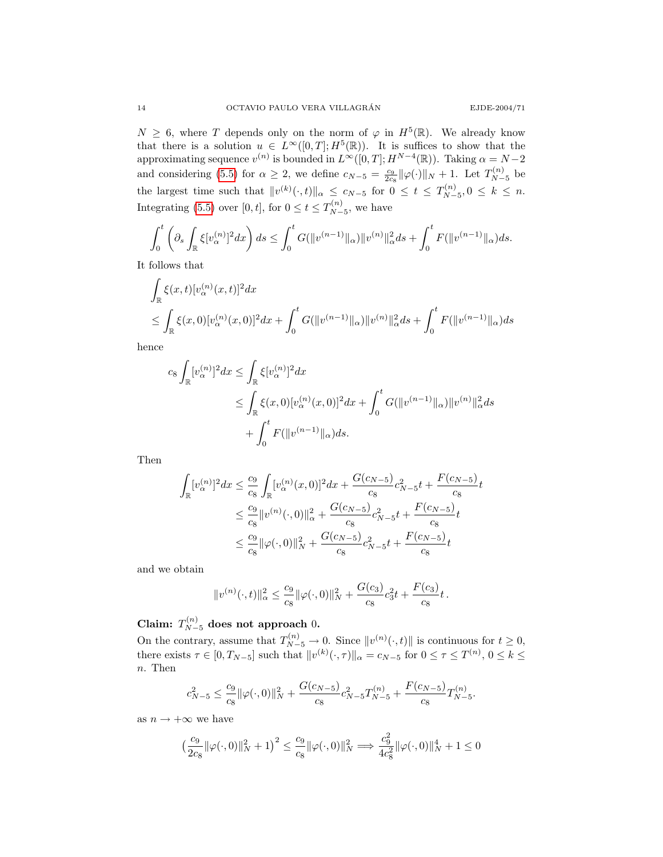$N \geq 6$ , where T depends only on the norm of  $\varphi$  in  $H^5(\mathbb{R})$ . We already know that there is a solution  $u \in L^{\infty}([0,T];H^5(\mathbb{R}))$ . It is suffices to show that the approximating sequence  $v^{(n)}$  is bounded in  $L^{\infty}([0,T]; H^{N-4}(\mathbb{R}))$ . Taking  $\alpha = N-2$ and considering [\(5.5\)](#page-11-1) for  $\alpha \ge 2$ , we define  $c_{N-5} = \frac{c_9}{2c_8} ||\varphi(\cdot)||_N + 1$ . Let  $T_{N-5}^{(n)}$  $\frac{N^{(n)}}{N-5}$  be the largest time such that  $||v^{(k)}(\cdot, t)||_{\alpha} \leq c_{N-5}$  for  $0 \leq t \leq T_{N-5}^{(n)}$  $N^{-n/2}_{N-5}, 0 \leq k \leq n.$ Integrating [\(5.5\)](#page-11-1) over [0, t], for  $0 \le t \le T_{N-}^{(n)}$  $\sum_{N=5}^{(n)}$ , we have

$$
\int_0^t \left( \partial_s \int_{\mathbb{R}} \xi [v_\alpha^{(n)}]^2 dx \right) ds \le \int_0^t G(\|v^{(n-1)}\|_\alpha) \|v^{(n)}\|_\alpha^2 ds + \int_0^t F(\|v^{(n-1)}\|_\alpha) ds.
$$

It follows that

$$
\int_{\mathbb{R}} \xi(x,t) [v_{\alpha}^{(n)}(x,t)]^2 dx
$$
\n
$$
\leq \int_{\mathbb{R}} \xi(x,0) [v_{\alpha}^{(n)}(x,0)]^2 dx + \int_0^t G(||v^{(n-1)}||_{\alpha}) ||v^{(n)}||_{\alpha}^2 ds + \int_0^t F(||v^{(n-1)}||_{\alpha}) ds
$$

hence

$$
c_8 \int_{\mathbb{R}} [v_{\alpha}^{(n)}]^2 dx \le \int_{\mathbb{R}} \xi [v_{\alpha}^{(n)}]^2 dx
$$
  
\n
$$
\le \int_{\mathbb{R}} \xi(x,0) [v_{\alpha}^{(n)}(x,0)]^2 dx + \int_0^t G(||v^{(n-1)}||_{\alpha}) ||v^{(n)}||_{\alpha}^2 ds
$$
  
\n
$$
+ \int_0^t F(||v^{(n-1)}||_{\alpha}) ds.
$$

Then

$$
\int_{\mathbb{R}} [v_{\alpha}^{(n)}]^{2} dx \leq \frac{c_{9}}{c_{8}} \int_{\mathbb{R}} [v_{\alpha}^{(n)}(x, 0)]^{2} dx + \frac{G(c_{N-5})}{c_{8}} c_{N-5}^{2} t + \frac{F(c_{N-5})}{c_{8}} t
$$
\n
$$
\leq \frac{c_{9}}{c_{8}} \|v^{(n)}(\cdot, 0)\|_{\alpha}^{2} + \frac{G(c_{N-5})}{c_{8}} c_{N-5}^{2} t + \frac{F(c_{N-5})}{c_{8}} t
$$
\n
$$
\leq \frac{c_{9}}{c_{8}} \|\varphi(\cdot, 0)\|_{N}^{2} + \frac{G(c_{N-5})}{c_{8}} c_{N-5}^{2} t + \frac{F(c_{N-5})}{c_{8}} t
$$

and we obtain

$$
||v^{(n)}(\cdot,t)||_{\alpha}^{2} \leq \frac{c_{9}}{c_{8}} ||\varphi(\cdot,0)||_{N}^{2} + \frac{G(c_{3})}{c_{8}}c_{3}^{2}t + \frac{F(c_{3})}{c_{8}}t.
$$

Claim:  $T_{N-5}^{(n)}$  does not approach 0.

On the contrary, assume that  $T_{N-5}^{(n)} \to 0$ . Since  $||v^{(n)}(\cdot, t)||$  is continuous for  $t \ge 0$ , there exists  $\tau \in [0, T_{N-5}]$  such that  $||v^{(k)}(\cdot, \tau)||_{\alpha} = c_{N-5}$  for  $0 \le \tau \le T^{(n)}$ ,  $0 \le k \le$ n. Then

$$
c_{N-5}^2 \le \frac{c_9}{c_8} \|\varphi(\cdot, 0)\|_N^2 + \frac{G(c_{N-5})}{c_8} c_{N-5}^2 T_{N-5}^{(n)} + \frac{F(c_{N-5})}{c_8} T_{N-5}^{(n)}.
$$

as  $n \to +\infty$  we have

$$
\big(\frac{c_9}{2c_8}\|\varphi(\cdot,0)\|_N^2+1\big)^2\le \frac{c_9}{c_8}\|\varphi(\cdot,0)\|_N^2 \Longrightarrow \frac{c_9^2}{4c_8^2}\|\varphi(\cdot,0)\|_N^4+1\le 0
$$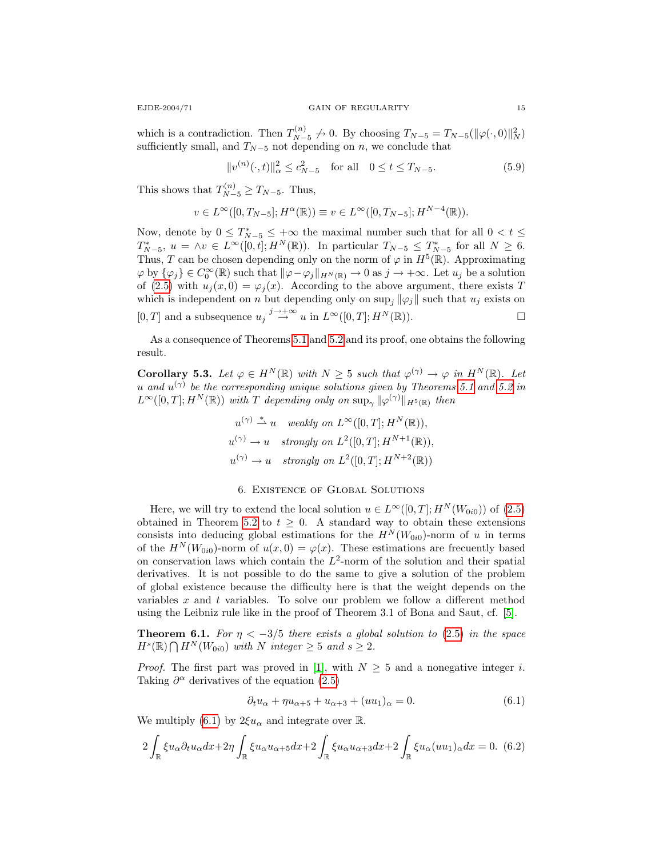which is a contradiction. Then  $T_{N-}^{(n)}$  $U_{N-5}^{(n)} \nightharpoonup 0$ . By choosing  $T_{N-5} = T_{N-5}(\|\varphi(\cdot, 0)\|_N^2)$ sufficiently small, and  $T_{N-5}$  not depending on n, we conclude that

$$
||v^{(n)}(\cdot,t)||_{\alpha}^{2} \le c_{N-5}^{2} \quad \text{for all} \quad 0 \le t \le T_{N-5}.
$$
 (5.9)

This shows that  $T_{N-5}^{(n)} \ge T_{N-5}$ . Thus,

$$
v \in L^{\infty}([0, T_{N-5}]; H^{\alpha}(\mathbb{R})) \equiv v \in L^{\infty}([0, T_{N-5}]; H^{N-4}(\mathbb{R})).
$$

Now, denote by  $0 \leq T^*_{N-5} \leq +\infty$  the maximal number such that for all  $0 < t \leq$  $T^*_{N-5}, u = \wedge v \in L^{\infty}([0,t]; H^N(\mathbb{R}))$ . In particular  $T_{N-5} \leq T^*_{N-5}$  for all  $N \geq 6$ . Thus, T can be chosen depending only on the norm of  $\varphi$  in  $H^5(\mathbb{R})$ . Approximating  $\varphi$  by  $\{\varphi_j\} \in C_0^{\infty}(\mathbb{R})$  such that  $\|\varphi - \varphi_j\|_{H^N(\mathbb{R})} \to 0$  as  $j \to +\infty$ . Let  $u_j$  be a solution of [\(2.5\)](#page-2-0) with  $u_j(x, 0) = \varphi_j(x)$ . According to the above argument, there exists T which is independent on n but depending only on  $\sup_j ||\varphi_j||$  such that  $u_j$  exists on [0, T] and a subsequence  $u_j \stackrel{j \to +\infty}{\to} u$  in  $L^{\infty}([0,T]; H^N(\mathbb{R}))$ .

As a consequence of Theorems [5.1](#page-9-3) and [5.2](#page-10-0) and its proof, one obtains the following result.

<span id="page-14-2"></span>**Corollary 5.3.** Let  $\varphi \in H^N(\mathbb{R})$  with  $N \geq 5$  such that  $\varphi^{(\gamma)} \to \varphi$  in  $H^N(\mathbb{R})$ . Let u and  $u^{(\gamma)}$  be the corresponding unique solutions given by Theorems [5.1](#page-9-3) and [5.2](#page-10-0) in  $L^{\infty}([0,T];H^N(\mathbb{R}))$  with T depending only on  $\sup_{\gamma} ||\varphi^{(\gamma)}||_{H^5(\mathbb{R})}$  then

$$
u^{(\gamma)} \stackrel{*}{\rightharpoonup} u \quad weakly \text{ on } L^{\infty}([0, T]; H^N(\mathbb{R})),
$$
  
\n
$$
u^{(\gamma)} \to u \quad strongly \text{ on } L^2([0, T]; H^{N+1}(\mathbb{R})),
$$
  
\n
$$
u^{(\gamma)} \to u \quad strongly \text{ on } L^2([0, T]; H^{N+2}(\mathbb{R}))
$$

# 6. Existence of Global Solutions

Here, we will try to extend the local solution  $u \in L^{\infty}([0,T]; H^N(W_{0i0}))$  of  $(2.5)$ obtained in Theorem [5.2](#page-10-0) to  $t \geq 0$ . A standard way to obtain these extensions consists into deducing global estimations for the  $H^N(W_{0i0})$ -norm of u in terms of the  $H^N(W_{0i0})$ -norm of  $u(x, 0) = \varphi(x)$ . These estimations are frecuently based on conservation laws which contain the  $L^2$ -norm of the solution and their spatial derivatives. It is not possible to do the same to give a solution of the problem of global existence because the difficulty here is that the weight depends on the variables  $x$  and  $t$  variables. To solve our problem we follow a different method using the Leibniz rule like in the proof of Theorem 3.1 of Bona and Saut, cf. [\[5\]](#page-22-4).

**Theorem 6.1.** For  $\eta < -3/5$  there exists a global solution to [\(2.5\)](#page-2-0) in the space  $H^s(\mathbb{R}) \bigcap H^N(W_{0i0})$  with N integer  $\geq 5$  and  $s \geq 2$ .

*Proof.* The first part was proved in [\[1\]](#page-22-5), with  $N \geq 5$  and a nonegative integer i. Taking  $\partial^{\alpha}$  derivatives of the equation [\(2.5\)](#page-2-0)

<span id="page-14-1"></span><span id="page-14-0"></span>
$$
\partial_t u_\alpha + \eta u_{\alpha+5} + u_{\alpha+3} + (uu_1)_\alpha = 0. \tag{6.1}
$$

We multiply [\(6.1\)](#page-14-0) by  $2\xi u_{\alpha}$  and integrate over R.

$$
2\int_{\mathbb{R}} \xi u_{\alpha} \partial_t u_{\alpha} dx + 2\eta \int_{\mathbb{R}} \xi u_{\alpha} u_{\alpha+5} dx + 2 \int_{\mathbb{R}} \xi u_{\alpha} u_{\alpha+3} dx + 2 \int_{\mathbb{R}} \xi u_{\alpha} (uu_1)_{\alpha} dx = 0.
$$
 (6.2)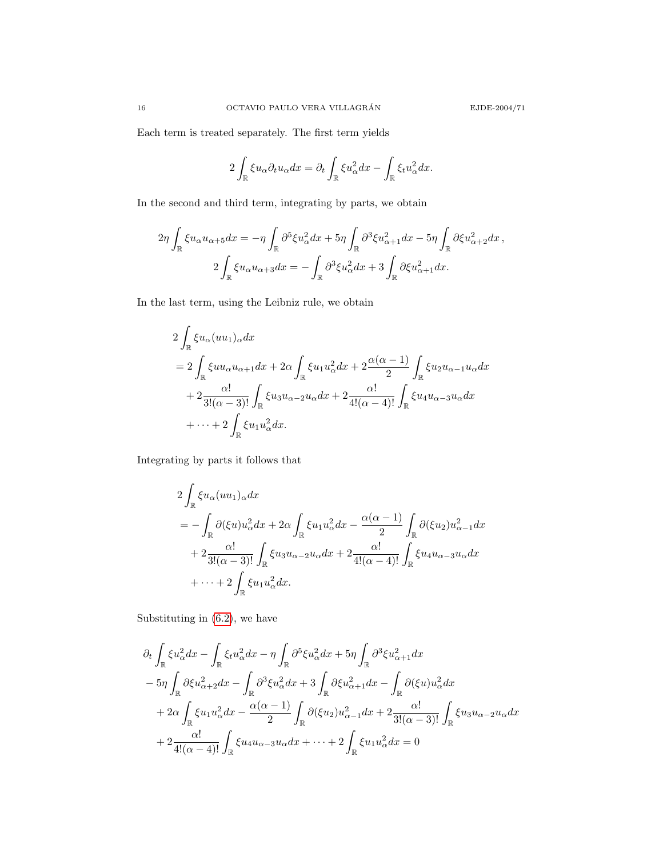Each term is treated separately. The first term yields

$$
2\int_{\mathbb{R}}\xi u_{\alpha}\partial_t u_{\alpha}dx = \partial_t \int_{\mathbb{R}}\xi u_{\alpha}^2dx - \int_{\mathbb{R}}\xi_t u_{\alpha}^2dx.
$$

In the second and third term, integrating by parts, we obtain

$$
2\eta \int_{\mathbb{R}} \xi u_{\alpha} u_{\alpha+5} dx = -\eta \int_{\mathbb{R}} \partial^5 \xi u_{\alpha}^2 dx + 5\eta \int_{\mathbb{R}} \partial^3 \xi u_{\alpha+1}^2 dx - 5\eta \int_{\mathbb{R}} \partial \xi u_{\alpha+2}^2 dx,
$$
  

$$
2 \int_{\mathbb{R}} \xi u_{\alpha} u_{\alpha+3} dx = - \int_{\mathbb{R}} \partial^3 \xi u_{\alpha}^2 dx + 3 \int_{\mathbb{R}} \partial \xi u_{\alpha+1}^2 dx.
$$

In the last term, using the Leibniz rule, we obtain

$$
2\int_{\mathbb{R}} \xi u_{\alpha}(uu_1)_{\alpha} dx
$$
  
= 
$$
2\int_{\mathbb{R}} \xi u u_{\alpha} u_{\alpha+1} dx + 2\alpha \int_{\mathbb{R}} \xi u_1 u_{\alpha}^2 dx + 2 \frac{\alpha(\alpha-1)}{2} \int_{\mathbb{R}} \xi u_2 u_{\alpha-1} u_{\alpha} dx
$$
  
+ 
$$
2 \frac{\alpha!}{3!(\alpha-3)!} \int_{\mathbb{R}} \xi u_3 u_{\alpha-2} u_{\alpha} dx + 2 \frac{\alpha!}{4!(\alpha-4)!} \int_{\mathbb{R}} \xi u_4 u_{\alpha-3} u_{\alpha} dx
$$
  
+ 
$$
\cdots + 2 \int_{\mathbb{R}} \xi u_1 u_{\alpha}^2 dx.
$$

Integrating by parts it follows that

$$
2\int_{\mathbb{R}} \xi u_{\alpha}(uu_1)_{\alpha} dx
$$
  
=  $-\int_{\mathbb{R}} \partial(\xi u) u_{\alpha}^2 dx + 2\alpha \int_{\mathbb{R}} \xi u_1 u_{\alpha}^2 dx - \frac{\alpha(\alpha - 1)}{2} \int_{\mathbb{R}} \partial(\xi u_2) u_{\alpha - 1}^2 dx$   
+  $2 \frac{\alpha!}{3!(\alpha - 3)!} \int_{\mathbb{R}} \xi u_3 u_{\alpha - 2} u_{\alpha} dx + 2 \frac{\alpha!}{4!(\alpha - 4)!} \int_{\mathbb{R}} \xi u_4 u_{\alpha - 3} u_{\alpha} dx$   
+  $\cdots + 2 \int_{\mathbb{R}} \xi u_1 u_{\alpha}^2 dx.$ 

Substituting in [\(6.2\)](#page-14-1), we have

$$
\partial_t \int_{\mathbb{R}} \xi u_\alpha^2 dx - \int_{\mathbb{R}} \xi_t u_\alpha^2 dx - \eta \int_{\mathbb{R}} \partial^5 \xi u_\alpha^2 dx + 5\eta \int_{\mathbb{R}} \partial^3 \xi u_{\alpha+1}^2 dx
$$
  
\n
$$
- 5\eta \int_{\mathbb{R}} \partial \xi u_{\alpha+2}^2 dx - \int_{\mathbb{R}} \partial^3 \xi u_\alpha^2 dx + 3 \int_{\mathbb{R}} \partial \xi u_{\alpha+1}^2 dx - \int_{\mathbb{R}} \partial (\xi u) u_\alpha^2 dx
$$
  
\n
$$
+ 2\alpha \int_{\mathbb{R}} \xi u_1 u_\alpha^2 dx - \frac{\alpha(\alpha - 1)}{2} \int_{\mathbb{R}} \partial (\xi u_2) u_{\alpha-1}^2 dx + 2 \frac{\alpha!}{3!(\alpha - 3)!} \int_{\mathbb{R}} \xi u_3 u_{\alpha-2} u_\alpha dx
$$
  
\n
$$
+ 2 \frac{\alpha!}{4!(\alpha - 4)!} \int_{\mathbb{R}} \xi u_4 u_{\alpha-3} u_\alpha dx + \dots + 2 \int_{\mathbb{R}} \xi u_1 u_\alpha^2 dx = 0
$$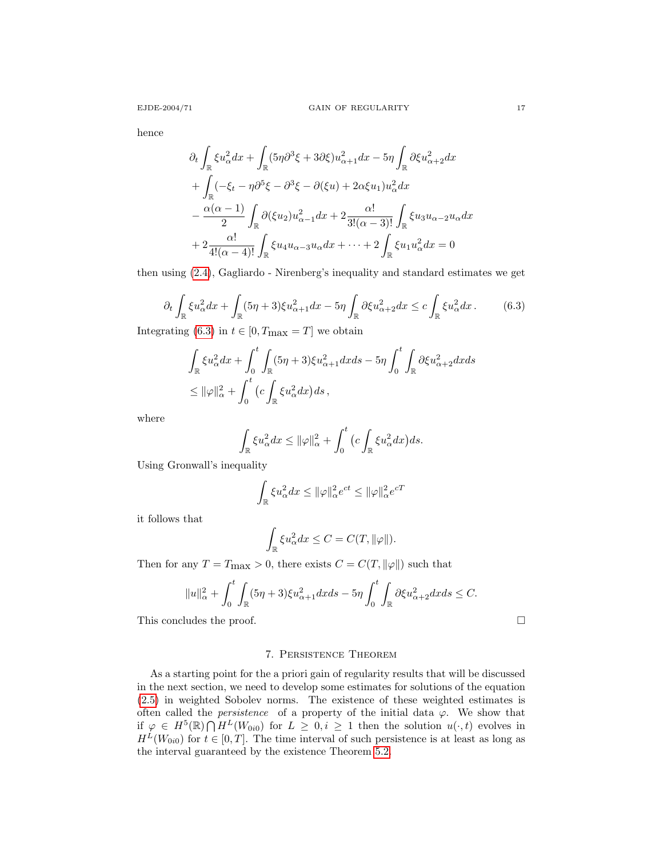hence

$$
\partial_t \int_{\mathbb{R}} \xi u_{\alpha}^2 dx + \int_{\mathbb{R}} (5\eta \partial^3 \xi + 3\partial \xi) u_{\alpha+1}^2 dx - 5\eta \int_{\mathbb{R}} \partial \xi u_{\alpha+2}^2 dx
$$
  
+ 
$$
\int_{\mathbb{R}} (-\xi_t - \eta \partial^5 \xi - \partial^3 \xi - \partial (\xi u) + 2\alpha \xi u_1) u_{\alpha}^2 dx
$$
  
- 
$$
\frac{\alpha(\alpha - 1)}{2} \int_{\mathbb{R}} \partial (\xi u_2) u_{\alpha-1}^2 dx + 2 \frac{\alpha!}{3!(\alpha - 3)!} \int_{\mathbb{R}} \xi u_3 u_{\alpha-2} u_{\alpha} dx
$$
  
+ 
$$
2 \frac{\alpha!}{4!(\alpha - 4)!} \int_{\mathbb{R}} \xi u_4 u_{\alpha-3} u_{\alpha} dx + \dots + 2 \int_{\mathbb{R}} \xi u_1 u_{\alpha}^2 dx = 0
$$

<span id="page-16-0"></span>then using [\(2.4\)](#page-1-1), Gagliardo - Nirenberg's inequality and standard estimates we get

$$
\partial_t \int_{\mathbb{R}} \xi u_\alpha^2 dx + \int_{\mathbb{R}} (5\eta + 3)\xi u_{\alpha+1}^2 dx - 5\eta \int_{\mathbb{R}} \partial \xi u_{\alpha+2}^2 dx \le c \int_{\mathbb{R}} \xi u_\alpha^2 dx. \tag{6.3}
$$

Integrating [\(6.3\)](#page-16-0) in  $t \in [0, T_{\text{max}} = T]$  we obtain

$$
\int_{\mathbb{R}} \xi u_{\alpha}^{2} dx + \int_{0}^{t} \int_{\mathbb{R}} (5\eta + 3)\xi u_{\alpha+1}^{2} dx ds - 5\eta \int_{0}^{t} \int_{\mathbb{R}} \partial \xi u_{\alpha+2}^{2} dx ds \leq ||\varphi||_{\alpha}^{2} + \int_{0}^{t} (c \int_{\mathbb{R}} \xi u_{\alpha}^{2} dx) ds,
$$

where

$$
\int_{\mathbb{R}} \xi u_{\alpha}^{2} dx \leq ||\varphi||_{\alpha}^{2} + \int_{0}^{t} (c \int_{\mathbb{R}} \xi u_{\alpha}^{2} dx) ds.
$$

Using Gronwall's inequality

$$
\int_{\mathbb{R}} \xi u_{\alpha}^{2} dx \leq ||\varphi||_{\alpha}^{2} e^{ct} \leq ||\varphi||_{\alpha}^{2} e^{cT}
$$

it follows that

$$
\int_{\mathbb{R}} \xi u_{\alpha}^{2} dx \leq C = C(T, \|\varphi\|).
$$

Then for any  $T = T_{\text{max}} > 0$ , there exists  $C = C(T, ||\varphi||)$  such that

$$
||u||_{\alpha}^{2} + \int_{0}^{t} \int_{\mathbb{R}} (5\eta + 3)\xi u_{\alpha+1}^{2} dx ds - 5\eta \int_{0}^{t} \int_{\mathbb{R}} \partial \xi u_{\alpha+2}^{2} dx ds \leq C.
$$

This concludes the proof.

# 7. Persistence Theorem

<span id="page-16-1"></span>As a starting point for the a priori gain of regularity results that will be discussed in the next section, we need to develop some estimates for solutions of the equation [\(2.5\)](#page-2-0) in weighted Sobolev norms. The existence of these weighted estimates is often called the *persistence* of a property of the initial data  $\varphi$ . We show that if  $\varphi \in H^5(\mathbb{R}) \cap H^L(W_{0i0})$  for  $L \geq 0, i \geq 1$  then the solution  $u(\cdot, t)$  evolves in  $H^L(W_{0i0})$  for  $t \in [0, T]$ . The time interval of such persistence is at least as long as the interval guaranteed by the existence Theorem [5.2.](#page-10-0)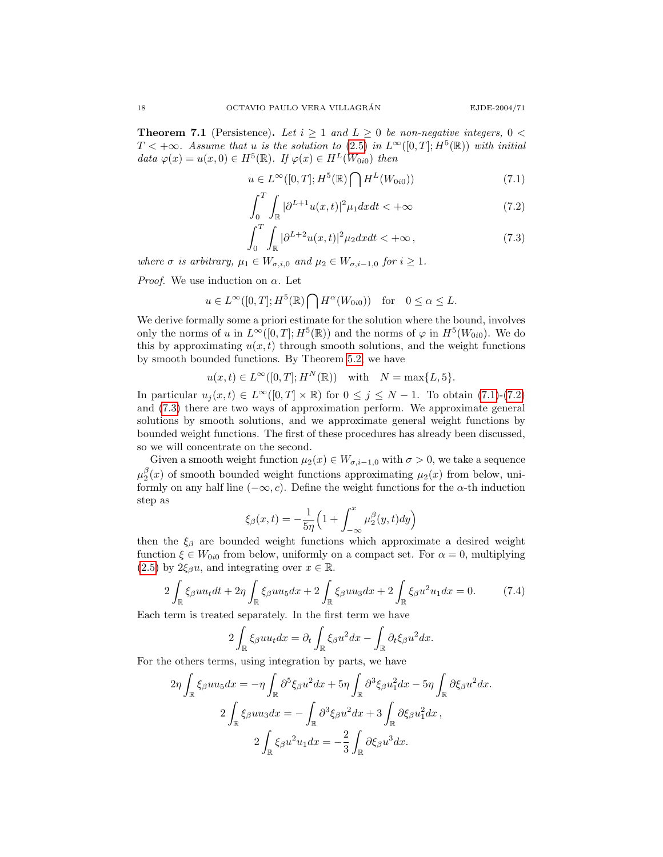**Theorem 7.1** (Persistence). Let  $i \geq 1$  and  $L \geq 0$  be non-negative integers,  $0 <$  $T<+\infty$ . Assume that u is the solution to [\(2.5\)](#page-2-0) in  $L^{\infty}([0,T];H^5(\mathbb{R}))$  with initial data  $\varphi(x) = u(x,0) \in H^5(\mathbb{R})$ . If  $\varphi(x) \in H^L(W_{0i0})$  then

$$
u \in L^{\infty}([0,T]; H^5(\mathbb{R}) \bigcap H^L(W_{0i0}))
$$
\n
$$
(7.1)
$$

<span id="page-17-2"></span><span id="page-17-1"></span><span id="page-17-0"></span>
$$
\int_{0}^{T} \int_{\mathbb{R}} |\partial^{L+1} u(x,t)|^{2} \mu_{1} dx dt < +\infty
$$
\n(7.2)

$$
\int_0^T \int_{\mathbb{R}} |\partial^{L+2} u(x,t)|^2 \mu_2 dx dt < +\infty ,\qquad (7.3)
$$

where  $\sigma$  is arbitrary,  $\mu_1 \in W_{\sigma,i,0}$  and  $\mu_2 \in W_{\sigma,i-1,0}$  for  $i \geq 1$ .

*Proof.* We use induction on  $\alpha$ . Let

$$
u \in L^{\infty}([0,T]; H^5(\mathbb{R}) \bigcap H^{\alpha}(W_{0i0}))
$$
 for  $0 \le \alpha \le L$ .

We derive formally some a priori estimate for the solution where the bound, involves only the norms of u in  $L^{\infty}([0,T]; H^5(\mathbb{R}))$  and the norms of  $\varphi$  in  $H^5(W_{0i0})$ . We do this by approximating  $u(x, t)$  through smooth solutions, and the weight functions by smooth bounded functions. By Theorem [5.2,](#page-10-0) we have

$$
u(x,t) \in L^{\infty}([0,T];H^N(\mathbb{R})) \quad \text{with} \quad N = \max\{L, 5\}.
$$

In particular  $u_i(x, t) \in L^{\infty}([0, T] \times \mathbb{R})$  for  $0 \leq j \leq N - 1$ . To obtain [\(7.1\)](#page-17-0)-[\(7.2\)](#page-17-1) and [\(7.3\)](#page-17-2) there are two ways of approximation perform. We approximate general solutions by smooth solutions, and we approximate general weight functions by bounded weight functions. The first of these procedures has already been discussed, so we will concentrate on the second.

Given a smooth weight function  $\mu_2(x) \in W_{\sigma,i-1,0}$  with  $\sigma > 0$ , we take a sequence  $\mu_2^{\beta}(x)$  of smooth bounded weight functions approximating  $\mu_2(x)$  from below, uniformly on any half line  $(-\infty, c)$ . Define the weight functions for the  $\alpha$ -th induction step as

<span id="page-17-3"></span>
$$
\xi_{\beta}(x,t) = -\frac{1}{5\eta} \left( 1 + \int_{-\infty}^{x} \mu_2^{\beta}(y,t) dy \right)
$$

then the  $\xi_{\beta}$  are bounded weight functions which approximate a desired weight function  $\xi \in W_{0i0}$  from below, uniformly on a compact set. For  $\alpha = 0$ , multiplying [\(2.5\)](#page-2-0) by  $2\xi_{\beta}u$ , and integrating over  $x \in \mathbb{R}$ .

$$
2\int_{\mathbb{R}} \xi_{\beta}uu_{t}dt + 2\eta \int_{\mathbb{R}} \xi_{\beta}uu_{5}dx + 2\int_{\mathbb{R}} \xi_{\beta}uu_{3}dx + 2\int_{\mathbb{R}} \xi_{\beta}u^{2}u_{1}dx = 0.
$$
 (7.4)

Each term is treated separately. In the first term we have

$$
2\int_{\mathbb{R}} \xi_{\beta} u u_t dx = \partial_t \int_{\mathbb{R}} \xi_{\beta} u^2 dx - \int_{\mathbb{R}} \partial_t \xi_{\beta} u^2 dx.
$$

For the others terms, using integration by parts, we have

$$
2\eta \int_{\mathbb{R}} \xi_{\beta} u u_5 dx = -\eta \int_{\mathbb{R}} \partial^5 \xi_{\beta} u^2 dx + 5\eta \int_{\mathbb{R}} \partial^3 \xi_{\beta} u_1^2 dx - 5\eta \int_{\mathbb{R}} \partial \xi_{\beta} u^2 dx.
$$
  

$$
2 \int_{\mathbb{R}} \xi_{\beta} u u_3 dx = - \int_{\mathbb{R}} \partial^3 \xi_{\beta} u^2 dx + 3 \int_{\mathbb{R}} \partial \xi_{\beta} u_1^2 dx,
$$
  

$$
2 \int_{\mathbb{R}} \xi_{\beta} u^2 u_1 dx = -\frac{2}{3} \int_{\mathbb{R}} \partial \xi_{\beta} u^3 dx.
$$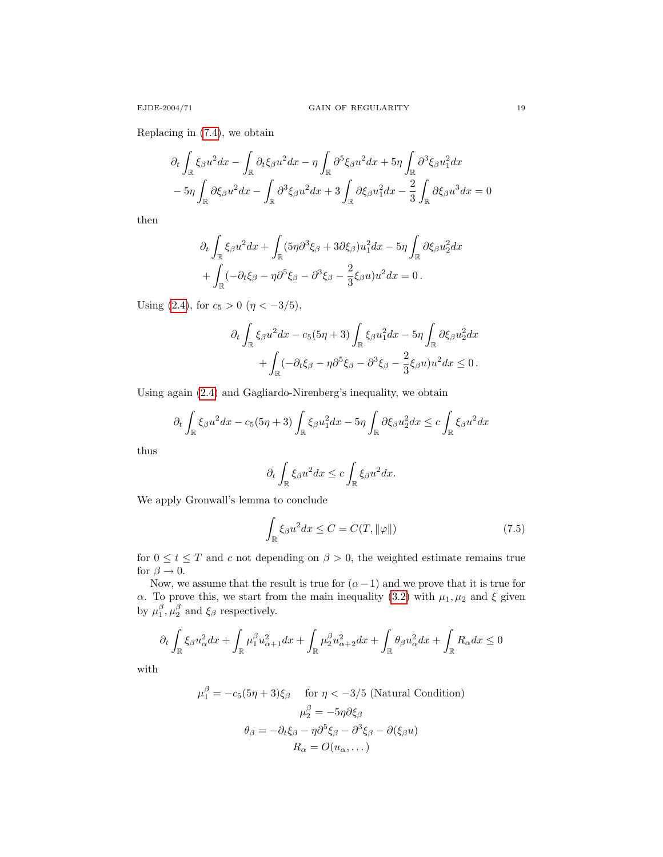Replacing in [\(7.4\)](#page-17-3), we obtain

$$
\partial_t \int_{\mathbb{R}} \xi_{\beta} u^2 dx - \int_{\mathbb{R}} \partial_t \xi_{\beta} u^2 dx - \eta \int_{\mathbb{R}} \partial^5 \xi_{\beta} u^2 dx + 5\eta \int_{\mathbb{R}} \partial^3 \xi_{\beta} u_1^2 dx
$$

$$
-5\eta \int_{\mathbb{R}} \partial \xi_{\beta} u^2 dx - \int_{\mathbb{R}} \partial^3 \xi_{\beta} u^2 dx + 3 \int_{\mathbb{R}} \partial \xi_{\beta} u_1^2 dx - \frac{2}{3} \int_{\mathbb{R}} \partial \xi_{\beta} u^3 dx = 0
$$

then

$$
\partial_t \int_{\mathbb{R}} \xi_{\beta} u^2 dx + \int_{\mathbb{R}} (5\eta \partial^3 \xi_{\beta} + 3\partial \xi_{\beta}) u_1^2 dx - 5\eta \int_{\mathbb{R}} \partial \xi_{\beta} u_2^2 dx \n+ \int_{\mathbb{R}} (-\partial_t \xi_{\beta} - \eta \partial^5 \xi_{\beta} - \partial^3 \xi_{\beta} - \frac{2}{3} \xi_{\beta} u) u^2 dx = 0.
$$

Using [\(2.4\)](#page-1-1), for  $c_5 > 0$  ( $\eta < -3/5$ ),

$$
\partial_t \int_{\mathbb{R}} \xi_{\beta} u^2 dx - c_5 (5\eta + 3) \int_{\mathbb{R}} \xi_{\beta} u_1^2 dx - 5\eta \int_{\mathbb{R}} \partial \xi_{\beta} u_2^2 dx + \int_{\mathbb{R}} (-\partial_t \xi_{\beta} - \eta \partial^5 \xi_{\beta} - \partial^3 \xi_{\beta} - \frac{2}{3} \xi_{\beta} u) u^2 dx \le 0.
$$

Using again [\(2.4\)](#page-1-1) and Gagliardo-Nirenberg's inequality, we obtain

$$
\partial_t \int_{\mathbb{R}} \xi_{\beta} u^2 dx - c_5(5\eta + 3) \int_{\mathbb{R}} \xi_{\beta} u_1^2 dx - 5\eta \int_{\mathbb{R}} \partial \xi_{\beta} u_2^2 dx \le c \int_{\mathbb{R}} \xi_{\beta} u^2 dx
$$

thus

<span id="page-18-0"></span>
$$
\partial_t \int_{\mathbb{R}} \xi_{\beta} u^2 dx \leq c \int_{\mathbb{R}} \xi_{\beta} u^2 dx.
$$

We apply Gronwall's lemma to conclude

$$
\int_{\mathbb{R}} \xi_{\beta} u^2 dx \le C = C(T, \|\varphi\|) \tag{7.5}
$$

for  $0 \le t \le T$  and c not depending on  $\beta > 0$ , the weighted estimate remains true for  $\beta \rightarrow 0.$ 

Now, we assume that the result is true for  $(\alpha - 1)$  and we prove that it is true for α. To prove this, we start from the main inequality [\(3.2\)](#page-3-0) with  $\mu_1, \mu_2$  and ξ given by  $\mu_1^{\beta}, \mu_2^{\beta}$  and  $\xi_{\beta}$  respectively.

$$
\partial_t \int_\mathbb{R} \xi_\beta u_\alpha^2 dx + \int_\mathbb{R} \mu_1^\beta u_{\alpha+1}^2 dx + \int_\mathbb{R} \mu_2^\beta u_{\alpha+2}^2 dx + \int_\mathbb{R} \theta_\beta u_\alpha^2 dx + \int_\mathbb{R} R_\alpha dx \leq 0
$$

with

$$
\mu_1^{\beta} = -c_5(5\eta + 3)\xi_{\beta} \quad \text{for } \eta < -3/5 \text{ (Natural Condition)}
$$

$$
\mu_2^{\beta} = -5\eta \partial \xi_{\beta}
$$

$$
\theta_{\beta} = -\partial_t \xi_{\beta} - \eta \partial^5 \xi_{\beta} - \partial^3 \xi_{\beta} - \partial (\xi_{\beta} u)
$$

$$
R_{\alpha} = O(u_{\alpha}, \dots)
$$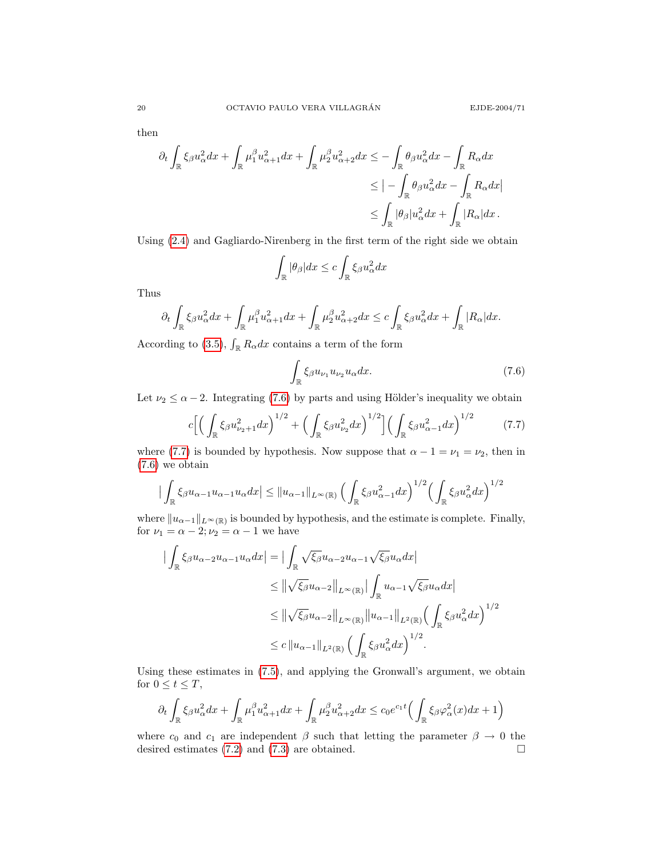then

$$
\partial_t \int_{\mathbb{R}} \xi_{\beta} u_{\alpha}^2 dx + \int_{\mathbb{R}} \mu_1^{\beta} u_{\alpha+1}^2 dx + \int_{\mathbb{R}} \mu_2^{\beta} u_{\alpha+2}^2 dx \le - \int_{\mathbb{R}} \theta_{\beta} u_{\alpha}^2 dx - \int_{\mathbb{R}} R_{\alpha} dx
$$
  

$$
\le - \int_{\mathbb{R}} \theta_{\beta} u_{\alpha}^2 dx - \int_{\mathbb{R}} R_{\alpha} dx
$$
  

$$
\le \int_{\mathbb{R}} |\theta_{\beta}| u_{\alpha}^2 dx + \int_{\mathbb{R}} |R_{\alpha}| dx.
$$

Using [\(2.4\)](#page-1-1) and Gagliardo-Nirenberg in the first term of the right side we obtain

$$
\int_{\mathbb{R}} |\theta_{\beta}| dx \leq c \int_{\mathbb{R}} \xi_{\beta} u_{\alpha}^{2} dx
$$

Thus

$$
\partial_t \int_{\mathbb{R}} \xi_{\beta} u_{\alpha}^2 dx + \int_{\mathbb{R}} \mu_1^{\beta} u_{\alpha+1}^2 dx + \int_{\mathbb{R}} \mu_2^{\beta} u_{\alpha+2}^2 dx \leq c \int_{\mathbb{R}} \xi_{\beta} u_{\alpha}^2 dx + \int_{\mathbb{R}} |R_{\alpha}| dx.
$$

According to [\(3.5\)](#page-3-1),  $\int_{\mathbb{R}} R_{\alpha} dx$  contains a term of the form

<span id="page-19-1"></span><span id="page-19-0"></span>
$$
\int_{\mathbb{R}} \xi_{\beta} u_{\nu_1} u_{\nu_2} u_{\alpha} dx.
$$
\n(7.6)

Let  $\nu_2 \le \alpha - 2$ . Integrating [\(7.6\)](#page-19-0) by parts and using Hölder's inequality we obtain

$$
c\Big[\Big(\int_{\mathbb{R}}\xi_{\beta}u_{\nu_{2}+1}^{2}dx\Big)^{1/2}+\Big(\int_{\mathbb{R}}\xi_{\beta}u_{\nu_{2}}^{2}dx\Big)^{1/2}\Big]\Big(\int_{\mathbb{R}}\xi_{\beta}u_{\alpha-1}^{2}dx\Big)^{1/2}\tag{7.7}
$$

where [\(7.7\)](#page-19-1) is bounded by hypothesis. Now suppose that  $\alpha - 1 = \nu_1 = \nu_2$ , then in [\(7.6\)](#page-19-0) we obtain

$$
\left| \int_{\mathbb{R}} \xi_{\beta} u_{\alpha-1} u_{\alpha-1} u_{\alpha} dx \right| \leq \left\| u_{\alpha-1} \right\|_{L^{\infty}(\mathbb{R})} \left( \int_{\mathbb{R}} \xi_{\beta} u_{\alpha-1}^{2} dx \right)^{1/2} \left( \int_{\mathbb{R}} \xi_{\beta} u_{\alpha}^{2} dx \right)^{1/2}
$$

where  $||u_{\alpha-1}||_{L^{\infty}(\mathbb{R})}$  is bounded by hypothesis, and the estimate is complete. Finally, for  $\nu_1 = \alpha - 2; \nu_2 = \alpha - 1$  we have

$$
\begin{split}\n\left| \int_{\mathbb{R}} \xi_{\beta} u_{\alpha-2} u_{\alpha-1} u_{\alpha} dx \right| &= \left| \int_{\mathbb{R}} \sqrt{\xi_{\beta}} u_{\alpha-2} u_{\alpha-1} \sqrt{\xi_{\beta}} u_{\alpha} dx \right| \\
&\leq \left\| \sqrt{\xi_{\beta}} u_{\alpha-2} \right\|_{L^{\infty}(\mathbb{R})} \left| \int_{\mathbb{R}} u_{\alpha-1} \sqrt{\xi_{\beta}} u_{\alpha} dx \right| \\
&\leq \left\| \sqrt{\xi_{\beta}} u_{\alpha-2} \right\|_{L^{\infty}(\mathbb{R})} \left\| u_{\alpha-1} \right\|_{L^{2}(\mathbb{R})} \left( \int_{\mathbb{R}} \xi_{\beta} u_{\alpha}^{2} dx \right)^{1/2} \\
&\leq c \left\| u_{\alpha-1} \right\|_{L^{2}(\mathbb{R})} \left( \int_{\mathbb{R}} \xi_{\beta} u_{\alpha}^{2} dx \right)^{1/2}.\n\end{split}
$$

Using these estimates in [\(7.5\)](#page-18-0), and applying the Gronwall's argument, we obtain for  $0 \le t \le T$ ,

$$
\partial_t \int_{\mathbb{R}} \xi_{\beta} u_{\alpha}^2 dx + \int_{\mathbb{R}} \mu_1^{\beta} u_{\alpha+1}^2 dx + \int_{\mathbb{R}} \mu_2^{\beta} u_{\alpha+2}^2 dx \le c_0 e^{c_1 t} \Big( \int_{\mathbb{R}} \xi_{\beta} \varphi_{\alpha}^2(x) dx + 1 \Big)
$$

where  $c_0$  and  $c_1$  are independent  $\beta$  such that letting the parameter  $\beta \to 0$  the desired estimates (7.2) and (7.3) are obtained. desired estimates [\(7.2\)](#page-17-1) and [\(7.3\)](#page-17-2) are obtained.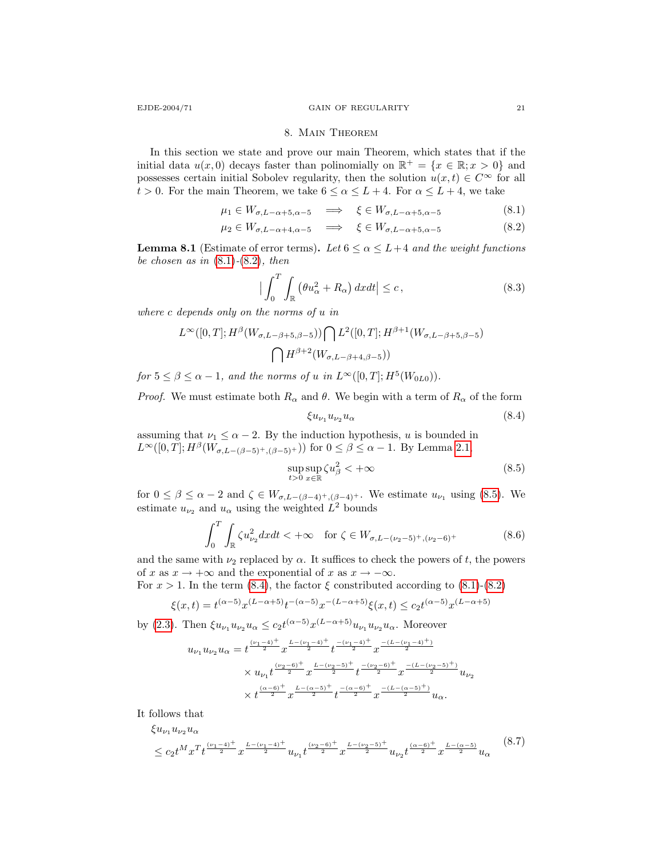#### <span id="page-20-1"></span><span id="page-20-0"></span>8. Main Theorem

In this section we state and prove our main Theorem, which states that if the initial data  $u(x, 0)$  decays faster than polinomially on  $\mathbb{R}^+ = \{x \in \mathbb{R}; x > 0\}$  and possesses certain initial Sobolev regularity, then the solution  $u(x, t) \in C^{\infty}$  for all  $t > 0$ . For the main Theorem, we take  $6 \le \alpha \le L+4$ . For  $\alpha \le L+4$ , we take

$$
\mu_1 \in W_{\sigma, L-\alpha+5, \alpha-5} \implies \xi \in W_{\sigma, L-\alpha+5, \alpha-5} \tag{8.1}
$$

$$
\mu_2 \in W_{\sigma, L-\alpha+4, \alpha-5} \quad \Longrightarrow \quad \xi \in W_{\sigma, L-\alpha+5, \alpha-5} \tag{8.2}
$$

**Lemma 8.1** (Estimate of error terms). Let  $6 \le \alpha \le L+4$  and the weight functions be chosen as in  $(8.1)-(8.2)$  $(8.1)-(8.2)$  $(8.1)-(8.2)$ , then

<span id="page-20-4"></span>
$$
\left|\int_{0}^{T} \int_{\mathbb{R}} \left(\theta u_{\alpha}^{2} + R_{\alpha}\right) dxdt\right| \leq c,
$$
\n(8.3)

where c depends only on the norms of u in

$$
L^{\infty}([0,T]; H^{\beta}(W_{\sigma,L-\beta+5,\beta-5})) \bigcap L^{2}([0,T]; H^{\beta+1}(W_{\sigma,L-\beta+5,\beta-5})
$$

$$
\bigcap H^{\beta+2}(W_{\sigma,L-\beta+4,\beta-5}))
$$

for  $5 \le \beta \le \alpha - 1$ , and the norms of u in  $L^{\infty}([0, T]; H^5(W_{0L0}))$ .

*Proof.* We must estimate both  $R_{\alpha}$  and  $\theta$ . We begin with a term of  $R_{\alpha}$  of the form

<span id="page-20-3"></span><span id="page-20-2"></span>
$$
\xi u_{\nu_1} u_{\nu_2} u_{\alpha} \tag{8.4}
$$

assuming that  $\nu_1 \leq \alpha - 2$ . By the induction hypothesis, u is bounded in  $L^{\infty}([0,T]; H^{\beta}(W_{\sigma,L-(\beta-5)^{+},(\beta-5)^{+}}))$  for  $0 \leq \beta \leq \alpha-1$ . By Lemma [2.1,](#page-2-2)

$$
\sup_{t>0} \sup_{x \in \mathbb{R}} \zeta u_{\beta}^2 < +\infty \tag{8.5}
$$

for  $0 \leq \beta \leq \alpha - 2$  and  $\zeta \in W_{\sigma, L-(\beta-4)^{+}, (\beta-4)^{+}}$ . We estimate  $u_{\nu_1}$  using [\(8.5\)](#page-20-2). We estimate  $u_{\nu_2}$  and  $u_{\alpha}$  using the weighted  $L^2$  bounds

$$
\int_0^T \int_{\mathbb{R}} \zeta u_{\nu_2}^2 dxdt < +\infty \quad \text{for } \zeta \in W_{\sigma, L - (\nu_2 - 5)^+, (\nu_2 - 6)^+}
$$
 (8.6)

and the same with  $\nu_2$  replaced by  $\alpha$ . It suffices to check the powers of t, the powers of x as  $x \to +\infty$  and the exponential of x as  $x \to -\infty$ .

For  $x > 1$ . In the term [\(8.4\)](#page-20-3), the factor  $\xi$  constributed according to [\(8.1\)](#page-20-0)-[\(8.2\)](#page-20-1)

$$
\xi(x,t)=t^{(\alpha-5)}x^{(L-\alpha+5)}t^{-(\alpha-5)}x^{-(L-\alpha+5)}\xi(x,t)\leq c_2t^{(\alpha-5)}x^{(L-\alpha+5)}
$$

by [\(2.3\)](#page-1-2). Then  $\xi u_{\nu_1} u_{\nu_2} u_{\alpha} \leq c_2 t^{(\alpha-5)} x^{(L-\alpha+5)} u_{\nu_1} u_{\nu_2} u_{\alpha}$ . Moreover

$$
\begin{split} u_{\nu_1}u_{\nu_2}u_{\alpha} &= t^{\frac{(\nu_1-4)^+}{2}}x^{\frac{L-(\nu_1-4)^+}{2}}t^{\frac{-(\nu_1-4)^+}{2}}x^{\frac{-(L-(\nu_1-4)^+)}{2}}\\ &\times u_{\nu_1}t^{\frac{(\nu_2-6)^+}{2}}x^{\frac{L-(\nu_2-5)^+}{2}}t^{\frac{-(\nu_2-6)^+}{2}}x^{\frac{-(L-(\nu_2-5)^+)}{2}}u_{\nu_2}\\ &\times t^{\frac{(\alpha-6)^+}{2}}x^{\frac{L-(\alpha-5)^+}{2}}t^{\frac{-(\alpha-6)^+}{2}}x^{\frac{-(L-(\alpha-5)^+)}{2}}u_{\alpha}. \end{split}
$$

It follows that  $\xi u_u, u_u u_\alpha$ 

$$
\leq c_2 t^M x^T t^{\frac{(\nu_1 - 4)^+}{2}} x^{\frac{L - (\nu_1 - 4)^+}{2}} u_{\nu_1} t^{\frac{(\nu_2 - 6)^+}{2}} x^{\frac{L - (\nu_2 - 5)^+}{2}} u_{\nu_2} t^{\frac{(\alpha - 6)^+}{2}} x^{\frac{L - (\alpha - 5)}{2}} u_{\alpha} \tag{8.7}
$$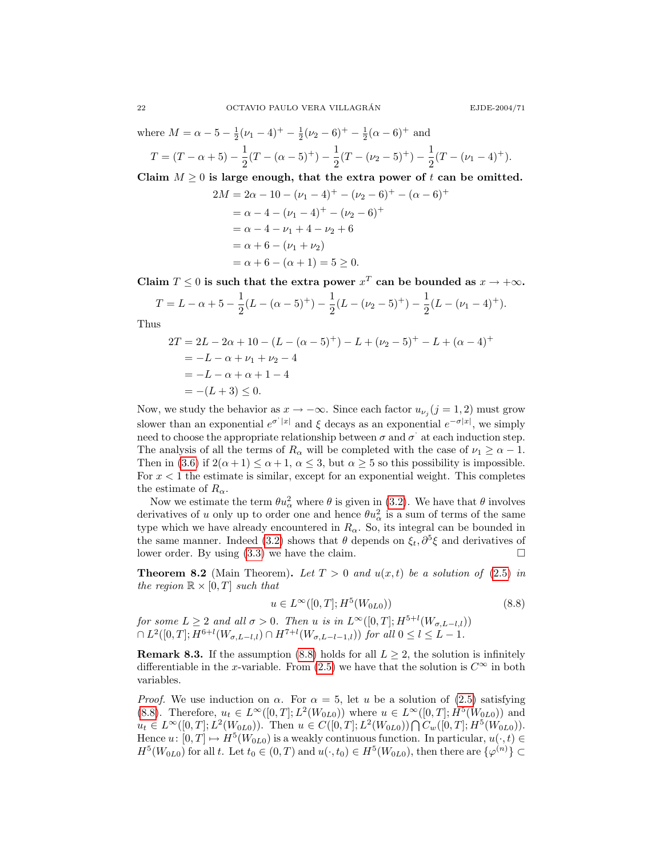where  $M = \alpha - 5 - \frac{1}{2}(\nu_1 - 4)^+ - \frac{1}{2}(\nu_2 - 6)^+ - \frac{1}{2}(\alpha - 6)^+$  and  $T = (T - \alpha + 5) - \frac{1}{2}$ 

 $\frac{1}{2}(T - (\alpha - 5)^{+}) - \frac{1}{2}$  $\frac{1}{2}(T-(\nu_2-5)^+)-\frac{1}{2}$  $\frac{1}{2}(T-(\nu_1-4)^+).$ 

Claim  $M \geq 0$  is large enough, that the extra power of t can be omitted.

$$
2M = 2\alpha - 10 - (\nu_1 - 4)^+ - (\nu_2 - 6)^+ - (\alpha - 6)^+
$$
  
=  $\alpha - 4 - (\nu_1 - 4)^+ - (\nu_2 - 6)^+$   
=  $\alpha - 4 - \nu_1 + 4 - \nu_2 + 6$   
=  $\alpha + 6 - (\nu_1 + \nu_2)$   
=  $\alpha + 6 - (\alpha + 1) = 5 \ge 0$ .

Claim  $T \leq 0$  is such that the extra power  $x^T$  can be bounded as  $x \to +\infty$ .

$$
T = L - \alpha + 5 - \frac{1}{2}(L - (\alpha - 5)^{+}) - \frac{1}{2}(L - (\nu_2 - 5)^{+}) - \frac{1}{2}(L - (\nu_1 - 4)^{+}).
$$

Thus

$$
2T = 2L - 2\alpha + 10 - (L - (\alpha - 5)^+) - L + (\nu_2 - 5)^+ - L + (\alpha - 4)^+
$$
  
= -L - \alpha + \nu\_1 + \nu\_2 - 4  
= -L - \alpha + \alpha + 1 - 4  
= -(L + 3) \le 0.

Now, we study the behavior as  $x \to -\infty$ . Since each factor  $u_{\nu_j}(j=1,2)$  must grow slower than an exponential  $e^{\sigma^i |x|}$  and  $\xi$  decays as an exponential  $e^{-\sigma |x|}$ , we simply need to choose the appropriate relationship between  $\sigma$  and  $\sigma'$  at each induction step. The analysis of all the terms of  $R_{\alpha}$  will be completed with the case of  $\nu_1 \geq \alpha - 1$ . Then in [\(3.6\)](#page-3-2) if  $2(\alpha + 1) \leq \alpha + 1$ ,  $\alpha \leq 3$ , but  $\alpha \geq 5$  so this possibility is impossible. For  $x < 1$  the estimate is similar, except for an exponential weight. This completes the estimate of  $R_{\alpha}$ .

Now we estimate the term  $\theta u_{\alpha}^2$  where  $\theta$  is given in [\(3.2\)](#page-3-0). We have that  $\theta$  involves derivatives of u only up to order one and hence  $\theta u_{\alpha}^2$  is a sum of terms of the same type which we have already encountered in  $R_{\alpha}$ . So, its integral can be bounded in the same manner. Indeed [\(3.2\)](#page-3-0) shows that  $\theta$  depends on  $\xi_t, \partial^5 \xi$  and derivatives of lower order. By using  $(3.3)$  we have the claim.

**Theorem 8.2** (Main Theorem). Let  $T > 0$  and  $u(x, t)$  be a solution of [\(2.5\)](#page-2-0) in the region  $\mathbb{R} \times [0,T]$  such that

<span id="page-21-0"></span>
$$
u \in L^{\infty}([0, T]; H^5(W_{0L0}))
$$
\n(8.8)

for some  $L \geq 2$  and all  $\sigma > 0$ . Then u is in  $L^{\infty}([0,T]; H^{5+l}(W_{\sigma,L-l,l}))$  $\cap L^2([0,T];H^{6+l}(W_{\sigma,L-l,l})\cap H^{7+l}(W_{\sigma,L-l-1,l}))$  for all  $0\leq l\leq L-1$ .

**Remark 8.3.** If the assumption [\(8.8\)](#page-21-0) holds for all  $L \geq 2$ , the solution is infinitely differentiable in the x-variable. From [\(2.5\)](#page-2-0) we have that the solution is  $C^{\infty}$  in both variables.

*Proof.* We use induction on  $\alpha$ . For  $\alpha = 5$ , let u be a solution of [\(2.5\)](#page-2-0) satisfying [\(8.8\)](#page-21-0). Therefore,  $u_t \in L^{\infty}([0,T]; L^2(W_{0L0}))$  where  $u \in L^{\infty}([0,T]; H^5(W_{0L0}))$  and  $u_t \in L^{\infty}([0,T]; L^2(W_{0L0}))$ . Then  $u \in C([0,T]; L^2(W_{0L0})) \cap C_w([0,T]; H^5(W_{0L0}))$ . Hence  $u: [0, T] \mapsto H^5(W_{0L0})$  is a weakly continuous function. In particular,  $u(\cdot, t) \in$  $H^5(W_{0L0})$  for all t. Let  $t_0 \in (0,T)$  and  $u(\cdot,t_0) \in H^5(W_{0L0})$ , then there are  $\{\varphi^{(n)}\} \subset$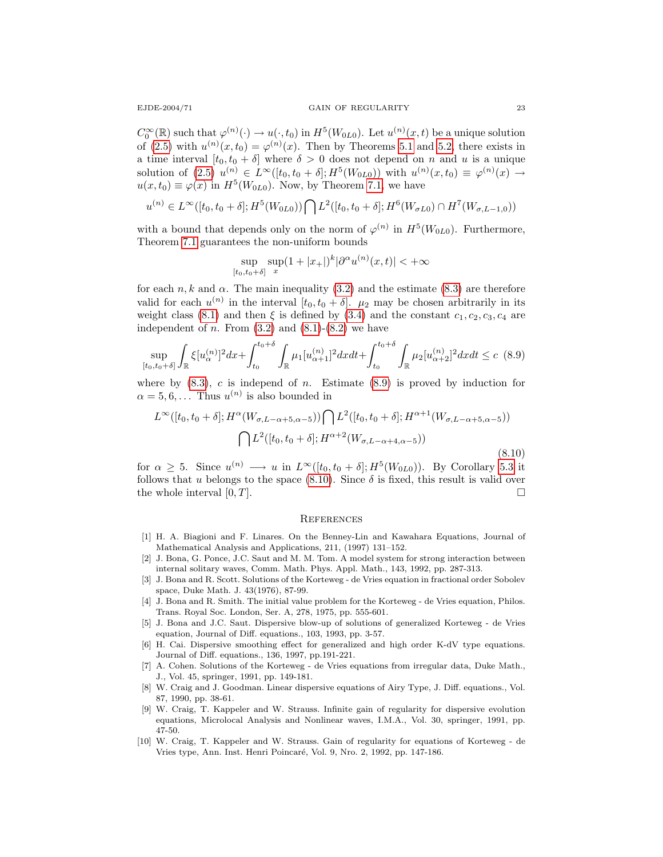$C_0^{\infty}(\mathbb{R})$  such that  $\varphi^{(n)}(\cdot) \to u(\cdot,t_0)$  in  $H^5(W_{0L0})$ . Let  $u^{(n)}(x,t)$  be a unique solution of [\(2.5\)](#page-2-0) with  $u^{(n)}(x,t_0) = \varphi^{(n)}(x)$ . Then by Theorems [5.1](#page-9-3) and [5.2,](#page-10-0) there exists in a time interval  $[t_0, t_0 + \delta]$  where  $\delta > 0$  does not depend on n and u is a unique solution of  $(2.5)$   $u^{(n)} \in L^{\infty}([t_0, t_0 + \delta]; H^5(W_{0L0}))$  with  $u^{(n)}(x, t_0) \equiv \varphi^{(n)}(x) \rightarrow$  $u(x, t_0) \equiv \varphi(x)$  in  $H^5(W_{0L0})$ . Now, by Theorem [7.1,](#page-16-1) we have

$$
u^{(n)} \in L^{\infty}([t_0, t_0 + \delta]; H^5(W_{0L0})) \bigcap L^2([t_0, t_0 + \delta]; H^6(W_{\sigma L0}) \cap H^7(W_{\sigma, L-1, 0}))
$$

with a bound that depends only on the norm of  $\varphi^{(n)}$  in  $H^5(W_{0L0})$ . Furthermore, Theorem [7.1](#page-16-1) guarantees the non-uniform bounds

<span id="page-22-6"></span>
$$
\sup_{[t_0, t_0+\delta]} \sup_x (1+|x_+|)^k |\partial^\alpha u^{(n)}(x, t)| < +\infty
$$

for each n, k and  $\alpha$ . The main inequality [\(3.2\)](#page-3-0) and the estimate [\(8.3\)](#page-20-4) are therefore valid for each  $u^{(n)}$  in the interval  $[t_0, t_0 + \delta]$ .  $\mu_2$  may be chosen arbitrarily in its weight class [\(8.1\)](#page-20-0) and then  $\xi$  is defined by [\(3.4\)](#page-3-4) and the constant  $c_1, c_2, c_3, c_4$  are independent of n. From  $(3.2)$  and  $(8.1)-(8.2)$  $(8.1)-(8.2)$  $(8.1)-(8.2)$  we have

$$
\sup_{[t_0, t_0+\delta]} \int_{\mathbb{R}} \xi [u_{\alpha}^{(n)}]^{2} dx + \int_{t_0}^{t_0+\delta} \int_{\mathbb{R}} \mu_1 [u_{\alpha+1}^{(n)}]^{2} dx dt + \int_{t_0}^{t_0+\delta} \int_{\mathbb{R}} \mu_2 [u_{\alpha+2}^{(n)}]^{2} dx dt \le c \tag{8.9}
$$

where by  $(8.3)$ , c is independ of n. Estimate  $(8.9)$  is proved by induction for  $\alpha = 5, 6, \ldots$  Thus  $u^{(n)}$  is also bounded in

$$
L^{\infty}([t_0, t_0 + \delta]; H^{\alpha}(W_{\sigma, L-\alpha+5, \alpha-5})) \bigcap L^2([t_0, t_0 + \delta]; H^{\alpha+1}(W_{\sigma, L-\alpha+5, \alpha-5}))
$$
  

$$
\bigcap L^2([t_0, t_0 + \delta]; H^{\alpha+2}(W_{\sigma, L-\alpha+4, \alpha-5}))
$$
\n(8.10)

for  $\alpha \geq 5$ . Since  $u^{(n)} \longrightarrow u$  in  $L^{\infty}([t_0, t_0 + \delta]; H^5(W_{0L0}))$ . By Corollary [5.3](#page-14-2) it follows that u belongs to the space  $(8.10)$ . Since  $\delta$  is fixed, this result is valid over the whole interval  $[0, T]$ .

#### <span id="page-22-7"></span>**REFERENCES**

- <span id="page-22-5"></span>[1] H. A. Biagioni and F. Linares. On the Benney-Lin and Kawahara Equations, Journal of Mathematical Analysis and Applications, 211, (1997) 131–152.
- [2] J. Bona, G. Ponce, J.C. Saut and M. M. Tom. A model system for strong interaction between internal solitary waves, Comm. Math. Phys. Appl. Math., 143, 1992, pp. 287-313.
- [3] J. Bona and R. Scott. Solutions of the Korteweg de Vries equation in fractional order Sobolev space, Duke Math. J. 43(1976), 87-99.
- [4] J. Bona and R. Smith. The initial value problem for the Korteweg de Vries equation, Philos. Trans. Royal Soc. London, Ser. A, 278, 1975, pp. 555-601.
- <span id="page-22-4"></span>[5] J. Bona and J.C. Saut. Dispersive blow-up of solutions of generalized Korteweg - de Vries equation, Journal of Diff. equations., 103, 1993, pp. 3-57.
- <span id="page-22-3"></span>[6] H. Cai. Dispersive smoothing effect for generalized and high order K-dV type equations. Journal of Diff. equations., 136, 1997, pp.191-221.
- <span id="page-22-1"></span>[7] A. Cohen. Solutions of the Korteweg - de Vries equations from irregular data, Duke Math., J., Vol. 45, springer, 1991, pp. 149-181.
- <span id="page-22-0"></span>[8] W. Craig and J. Goodman. Linear dispersive equations of Airy Type, J. Diff. equations., Vol. 87, 1990, pp. 38-61.
- [9] W. Craig, T. Kappeler and W. Strauss. Infinite gain of regularity for dispersive evolution equations, Microlocal Analysis and Nonlinear waves, I.M.A., Vol. 30, springer, 1991, pp. 47-50.
- <span id="page-22-2"></span>[10] W. Craig, T. Kappeler and W. Strauss. Gain of regularity for equations of Korteweg - de Vries type, Ann. Inst. Henri Poincar´e, Vol. 9, Nro. 2, 1992, pp. 147-186.